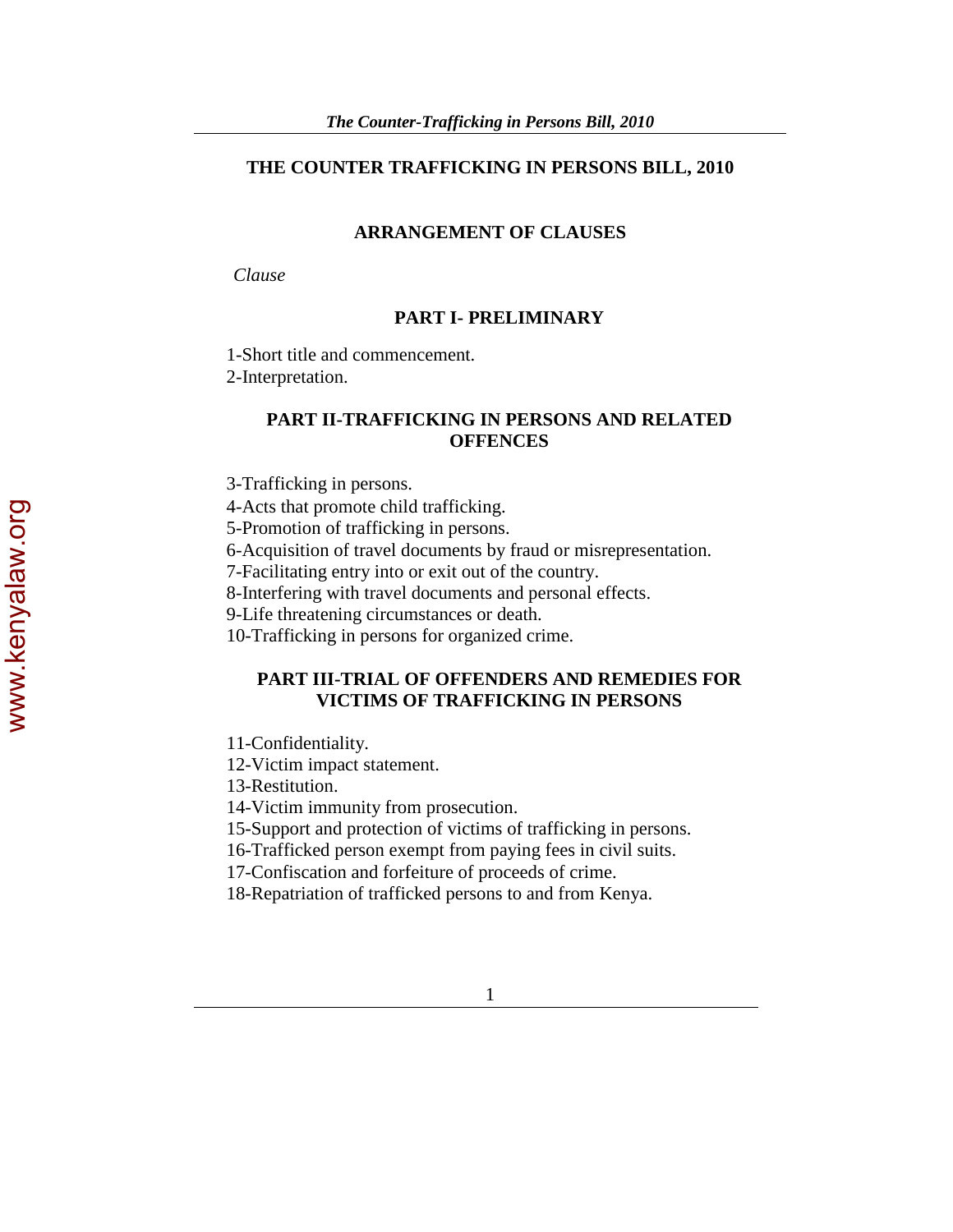# **THE COUNTER TRAFFICKING IN PERSONS BILL, 2010**

## **ARRANGEMENT OF CLAUSES**

 *Clause* 

## **PART I- PRELIMINARY**

1-Short title and commencement.

2-Interpretation.

# **PART II-TRAFFICKING IN PERSONS AND RELATED OFFENCES**

3-Trafficking in persons.

4-Acts that promote child trafficking.

5-Promotion of trafficking in persons.

6-Acquisition of travel documents by fraud or misrepresentation.

7-Facilitating entry into or exit out of the country.

8-Interfering with travel documents and personal effects.

9-Life threatening circumstances or death.

10-Trafficking in persons for organized crime.

# **PART III-TRIAL OF OFFENDERS AND REMEDIES FOR VICTIMS OF TRAFFICKING IN PERSONS**

11-Confidentiality.

12-Victim impact statement.

13-Restitution.

14-Victim immunity from prosecution.

15-Support and protection of victims of trafficking in persons.

16-Trafficked person exempt from paying fees in civil suits.

17-Confiscation and forfeiture of proceeds of crime.

18-Repatriation of trafficked persons to and from Kenya.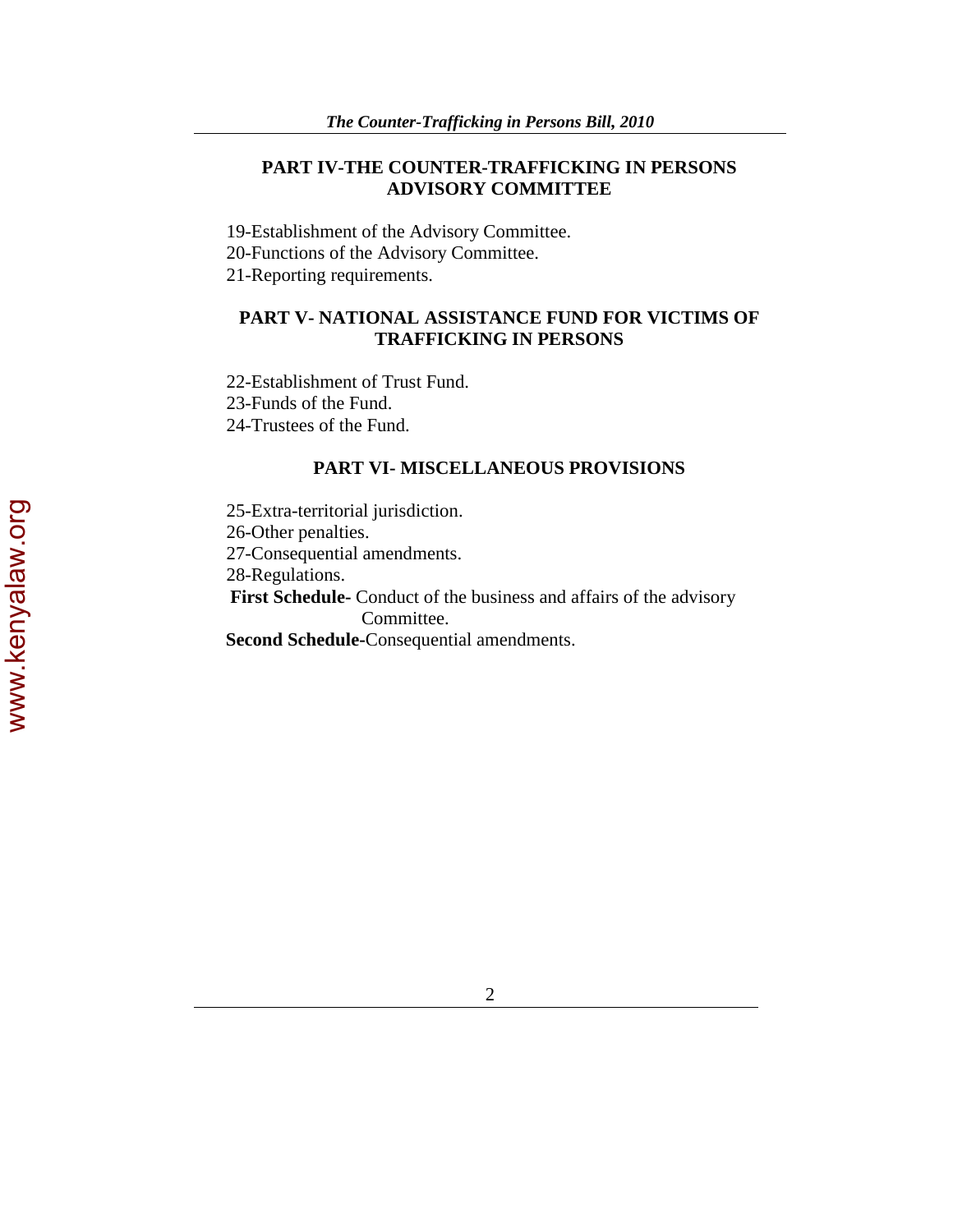# **PART IV-THE COUNTER-TRAFFICKING IN PERSONS ADVISORY COMMITTEE**

19-Establishment of the Advisory Committee.

20-Functions of the Advisory Committee.

21-Reporting requirements.

## **PART V- NATIONAL ASSISTANCE FUND FOR VICTIMS OF TRAFFICKING IN PERSONS**

22-Establishment of Trust Fund. 23-Funds of the Fund.

24-Trustees of the Fund.

### **PART VI- MISCELLANEOUS PROVISIONS**

25-Extra-territorial jurisdiction. 26-Other penalties. 27-Consequential amendments. 28-Regulations.  **First Schedule-** Conduct of the business and affairs of the advisory Committee.  **Second Schedule-**Consequential amendments.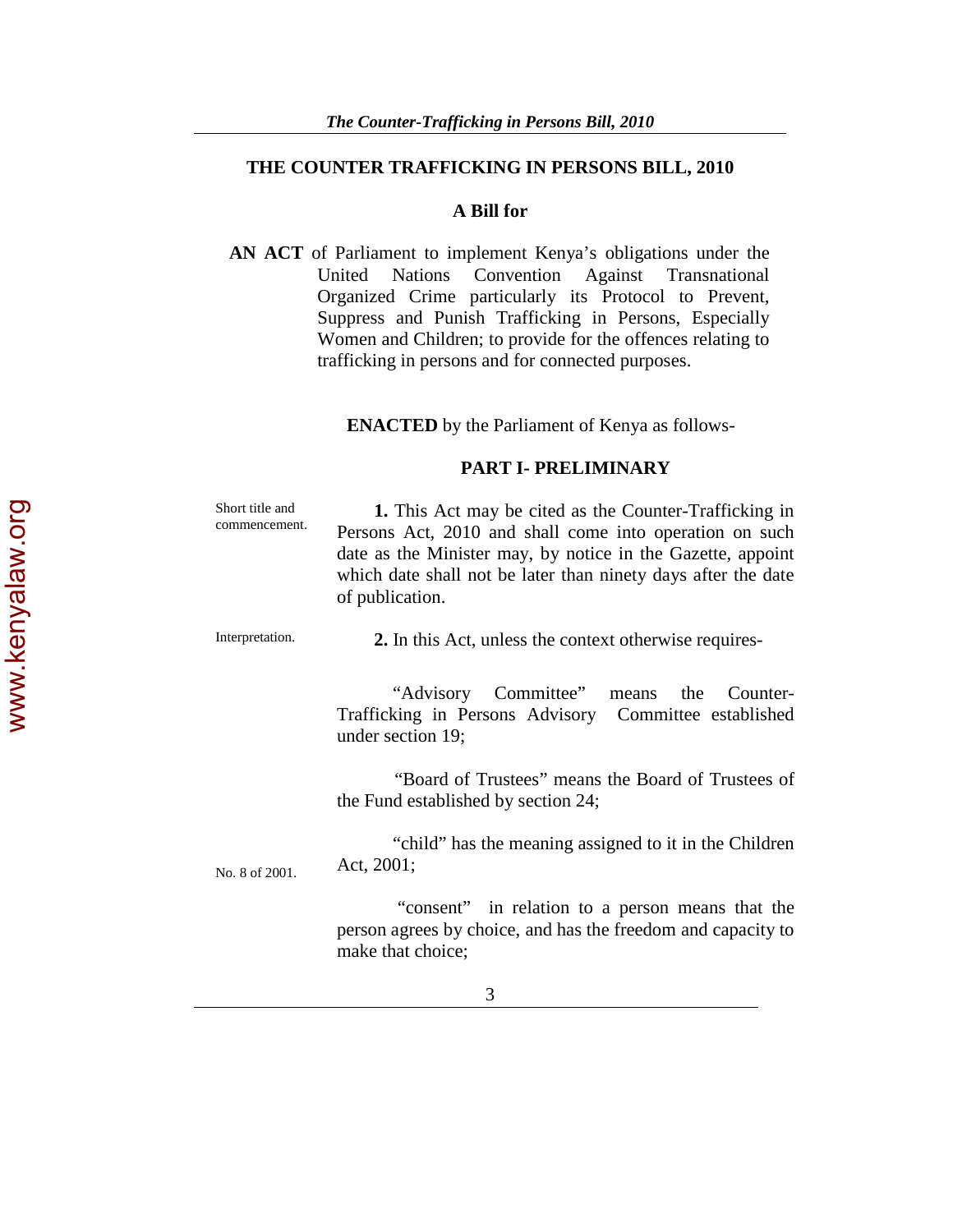# **THE COUNTER TRAFFICKING IN PERSONS BILL, 2010**

### **A Bill for**

**AN ACT** of Parliament to implement Kenya's obligations under the United Nations Convention Against Transnational United Nations Convention Against Transnational Organized Crime particularly its Protocol to Prevent, Suppress and Punish Trafficking in Persons, Especially Women and Children; to provide for the offences relating to trafficking in persons and for connected purposes.

 **ENACTED** by the Parliament of Kenya as follows-

### **PART I- PRELIMINARY**

| Short title and<br>commencement. | 1. This Act may be cited as the Counter-Trafficking in<br>Persons Act, 2010 and shall come into operation on such<br>date as the Minister may, by notice in the Gazette, appoint<br>which date shall not be later than ninety days after the date<br>of publication. |
|----------------------------------|----------------------------------------------------------------------------------------------------------------------------------------------------------------------------------------------------------------------------------------------------------------------|
| Interpretation.                  | 2. In this Act, unless the context otherwise requires-                                                                                                                                                                                                               |
|                                  | "Advisory Committee" means the<br>Counter-<br>Trafficking in Persons Advisory Committee established<br>under section 19;                                                                                                                                             |
|                                  | "Board of Trustees" means the Board of Trustees of<br>the Fund established by section 24;                                                                                                                                                                            |
| No. 8 of 2001.                   | "child" has the meaning assigned to it in the Children<br>Act, 2001;                                                                                                                                                                                                 |
|                                  | "consent" in relation to a person means that the<br>person agrees by choice, and has the freedom and capacity to<br>make that choice;                                                                                                                                |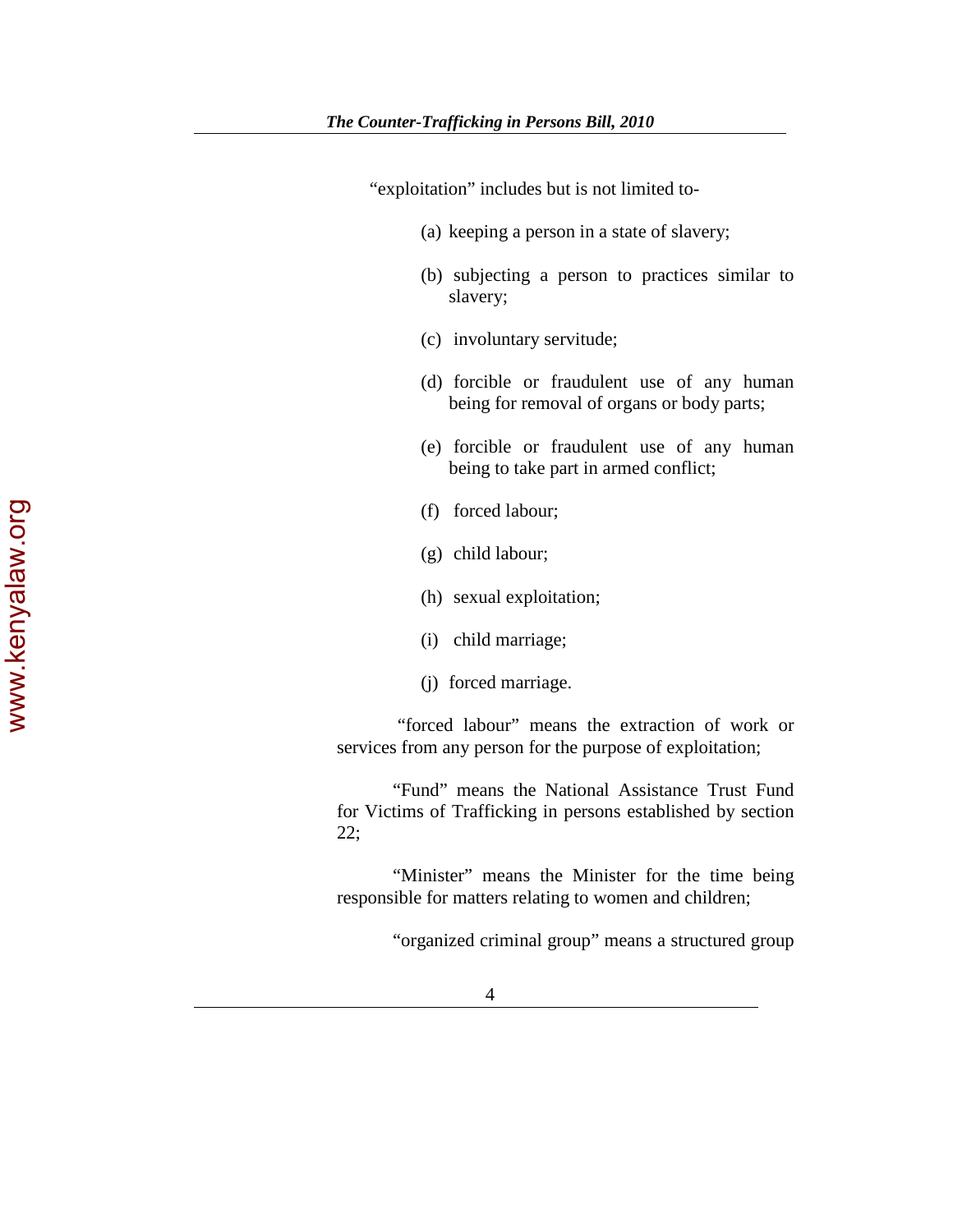"exploitation" includes but is not limited to-

- (a) keeping a person in a state of slavery;
- (b) subjecting a person to practices similar to slavery;
- (c) involuntary servitude;
- (d) forcible or fraudulent use of any human being for removal of organs or body parts;
- (e) forcible or fraudulent use of any human being to take part in armed conflict;
- (f) forced labour;
- (g) child labour;
- (h) sexual exploitation;
- (i) child marriage;
- (j) forced marriage.

 "forced labour" means the extraction of work or services from any person for the purpose of exploitation;

 "Fund" means the National Assistance Trust Fund for Victims of Trafficking in persons established by section 22;

"Minister" means the Minister for the time being responsible for matters relating to women and children;

"organized criminal group" means a structured group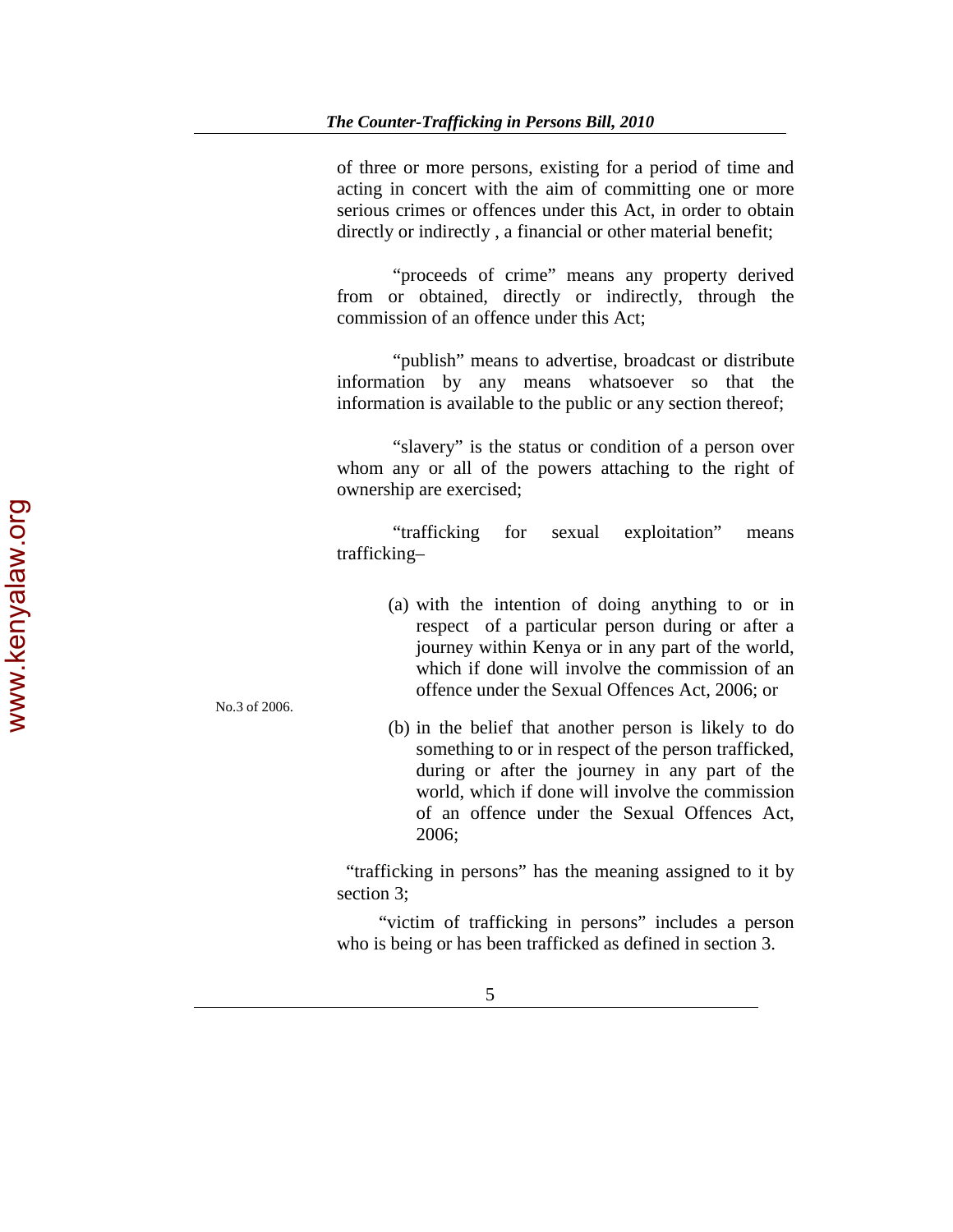of three or more persons, existing for a period of time and acting in concert with the aim of committing one or more serious crimes or offences under this Act, in order to obtain directly or indirectly , a financial or other material benefit;

 "proceeds of crime" means any property derived from or obtained, directly or indirectly, through the commission of an offence under this Act;

 "publish" means to advertise, broadcast or distribute information by any means whatsoever so that the information is available to the public or any section thereof;

 "slavery" is the status or condition of a person over whom any or all of the powers attaching to the right of ownership are exercised;

 "trafficking for sexual exploitation" means trafficking–

- (a) with the intention of doing anything to or in respect of a particular person during or after a journey within Kenya or in any part of the world, which if done will involve the commission of an offence under the Sexual Offences Act, 2006; or
- (b) in the belief that another person is likely to do something to or in respect of the person trafficked, during or after the journey in any part of the world, which if done will involve the commission of an offence under the Sexual Offences Act, 2006;

 "trafficking in persons" has the meaning assigned to it by section 3;

 "victim of trafficking in persons" includes a person who is being or has been trafficked as defined in section 3.

No.3 of 2006.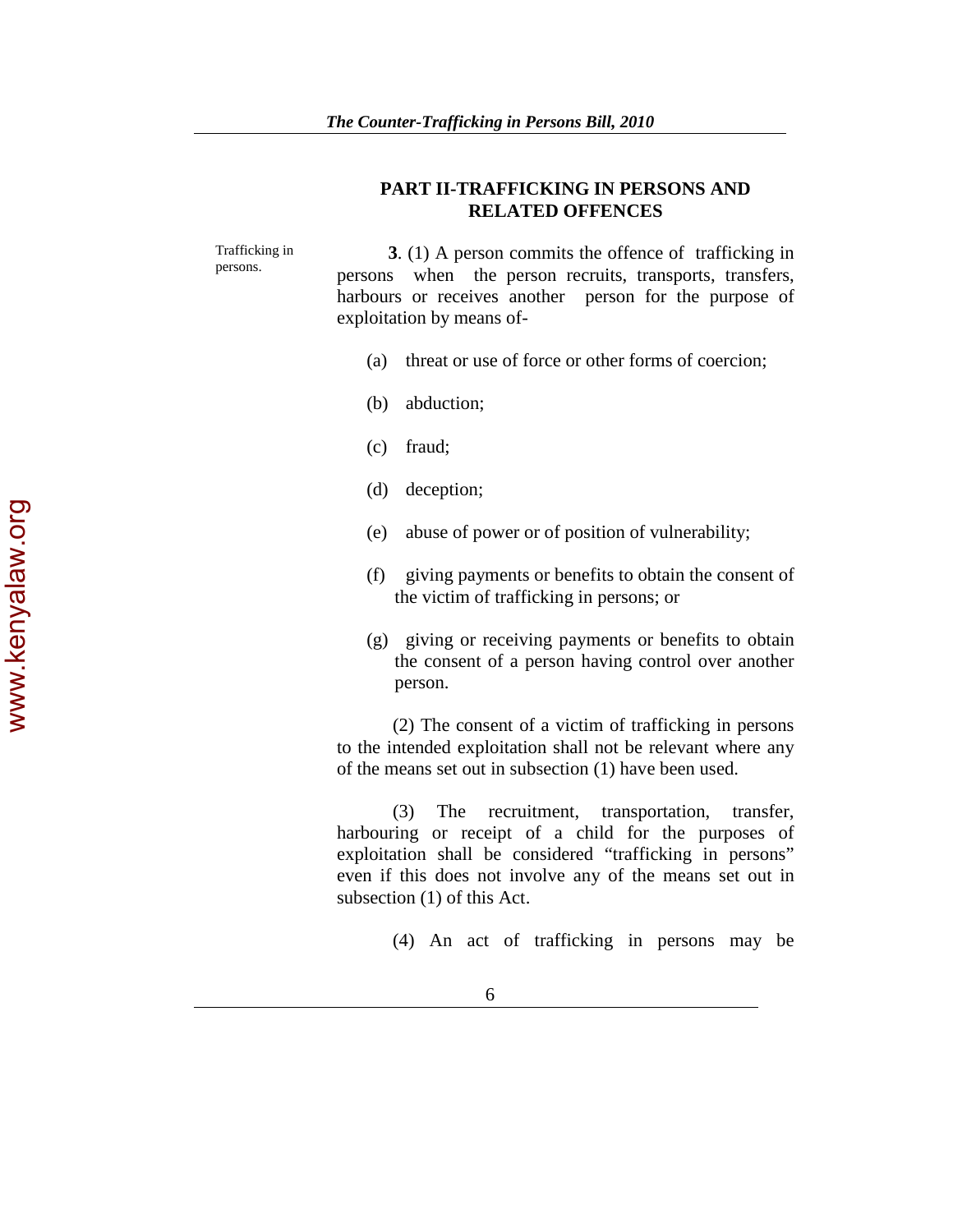## **PART II-TRAFFICKING IN PERSONS AND RELATED OFFENCES**

Trafficking in persons. **3**. (1) A person commits the offence of trafficking in persons when the person recruits, transports, transfers, harbours or receives another person for the purpose of exploitation by means of-

- (a) threat or use of force or other forms of coercion;
- (b) abduction;
- (c) fraud;
- (d) deception;
- (e) abuse of power or of position of vulnerability;
- (f) giving payments or benefits to obtain the consent of the victim of trafficking in persons; or
- (g) giving or receiving payments or benefits to obtain the consent of a person having control over another person.

 (2) The consent of a victim of trafficking in persons to the intended exploitation shall not be relevant where any of the means set out in subsection (1) have been used.

 (3) The recruitment, transportation, transfer, harbouring or receipt of a child for the purposes of exploitation shall be considered "trafficking in persons" even if this does not involve any of the means set out in subsection (1) of this Act.

(4) An act of trafficking in persons may be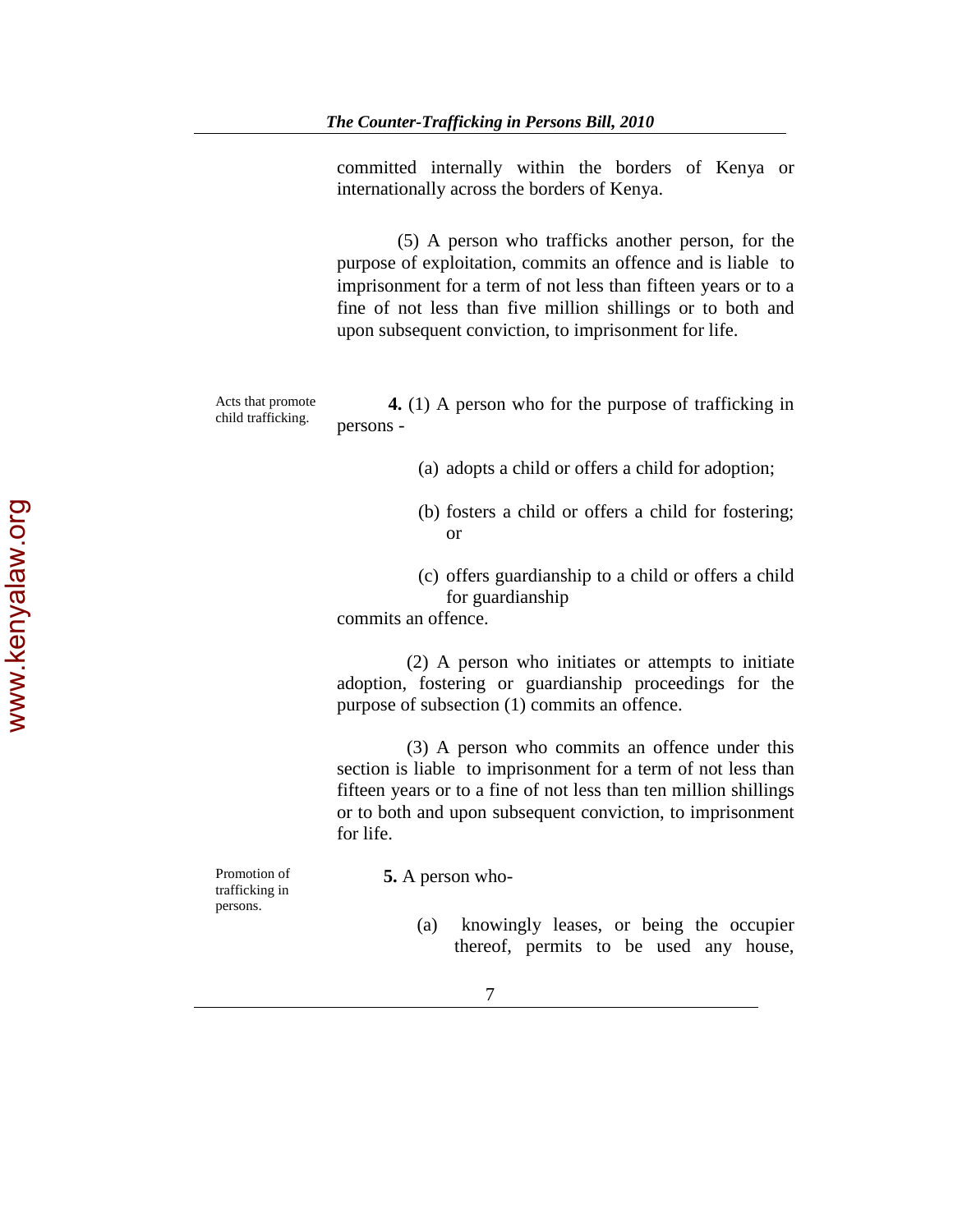committed internally within the borders of Kenya or internationally across the borders of Kenya.

 (5) A person who trafficks another person, for the purpose of exploitation, commits an offence and is liable to imprisonment for a term of not less than fifteen years or to a fine of not less than five million shillings or to both and upon subsequent conviction, to imprisonment for life.

Acts that promote

Acts that promote<br> **4.** (1) A person who for the purpose of trafficking in<br>
child trafficking. persons -

- (a) adopts a child or offers a child for adoption;
- (b) fosters a child or offers a child for fostering; or
- (c) offers guardianship to a child or offers a child for guardianship

commits an offence.

 (2) A person who initiates or attempts to initiate adoption, fostering or guardianship proceedings for the purpose of subsection (1) commits an offence.

 (3) A person who commits an offence under this section is liable to imprisonment for a term of not less than fifteen years or to a fine of not less than ten million shillings or to both and upon subsequent conviction, to imprisonment for life.

Promotion of trafficking in persons.

 **5.** A person who-

(a) knowingly leases, or being the occupier thereof, permits to be used any house,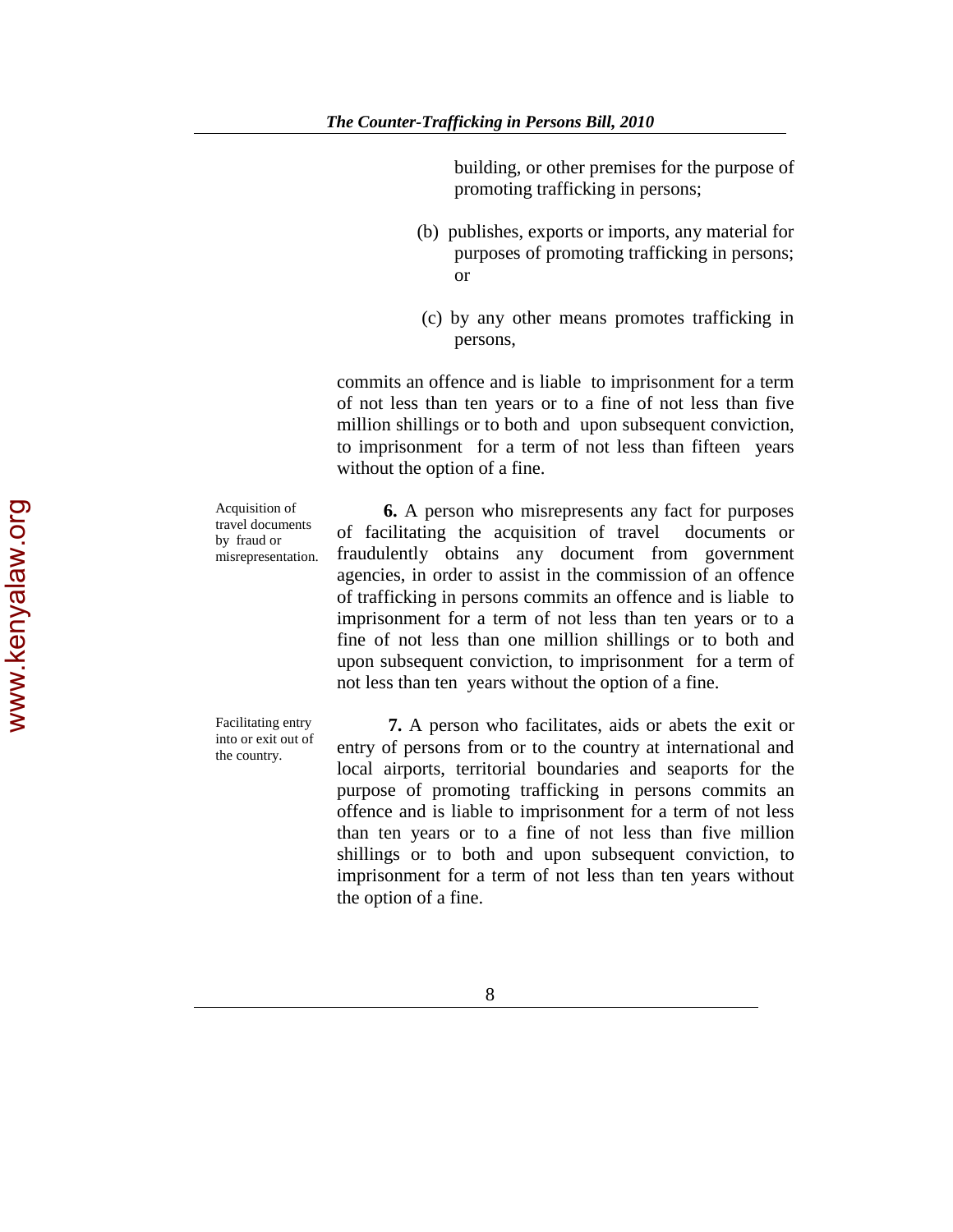building, or other premises for the purpose of promoting trafficking in persons;

- (b) publishes, exports or imports, any material for purposes of promoting trafficking in persons; or
- (c) by any other means promotes trafficking in persons,

commits an offence and is liable to imprisonment for a term of not less than ten years or to a fine of not less than five million shillings or to both and upon subsequent conviction, to imprisonment for a term of not less than fifteen years without the option of a fine.

Acquisition of travel documents by fraud or misrepresentation.

 **6.** A person who misrepresents any fact for purposes of facilitating the acquisition of travel documents or fraudulently obtains any document from government agencies, in order to assist in the commission of an offence of trafficking in persons commits an offence and is liable to imprisonment for a term of not less than ten years or to a fine of not less than one million shillings or to both and upon subsequent conviction, to imprisonment for a term of not less than ten years without the option of a fine.

Facilitating entry into or exit out of the country.

 **7.** A person who facilitates, aids or abets the exit or entry of persons from or to the country at international and local airports, territorial boundaries and seaports for the purpose of promoting trafficking in persons commits an offence and is liable to imprisonment for a term of not less than ten years or to a fine of not less than five million shillings or to both and upon subsequent conviction, to imprisonment for a term of not less than ten years without the option of a fine.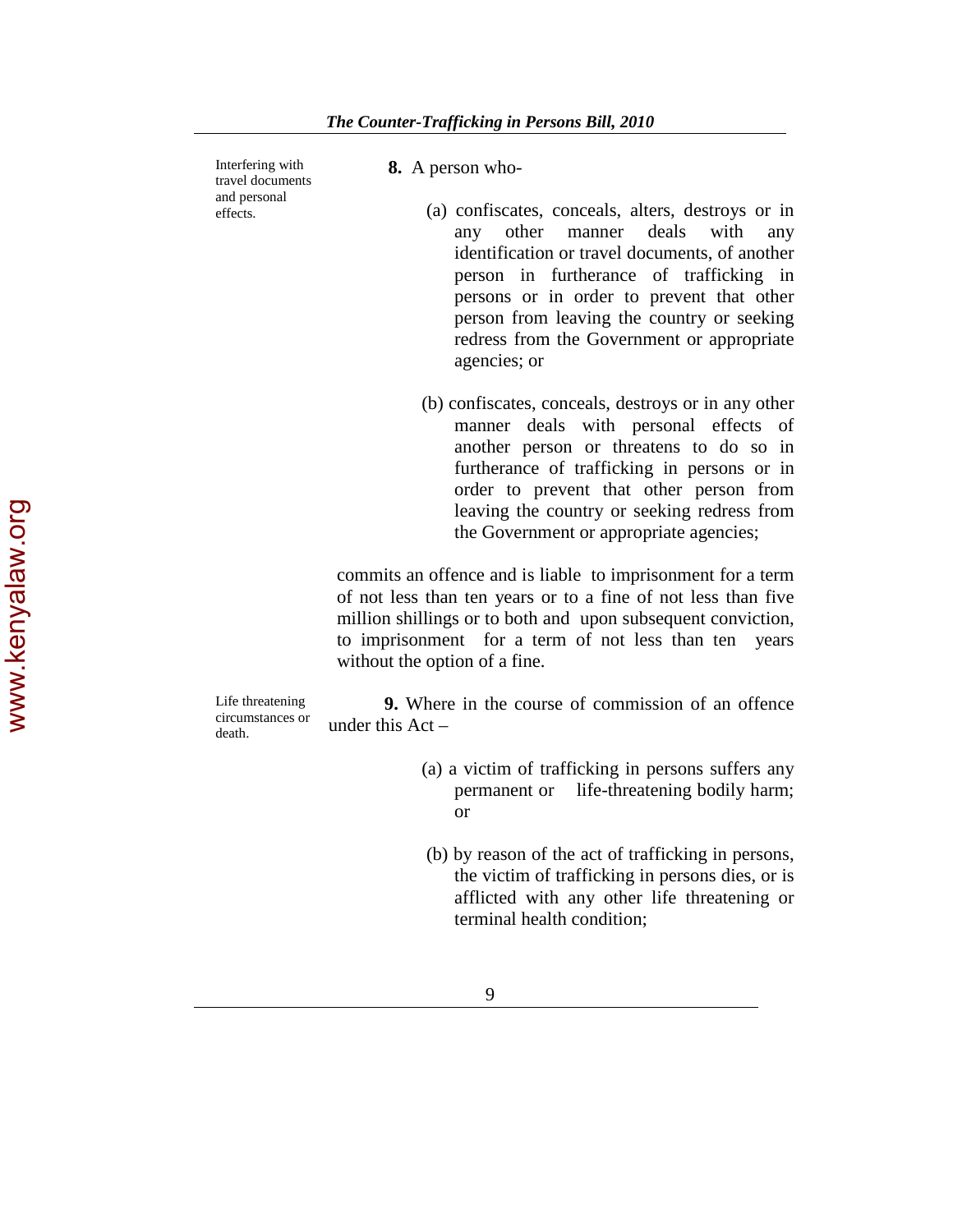Interfering with travel documents and personal effects.

 **8.** A person who-

- (a) confiscates, conceals, alters, destroys or in any other manner deals with any identification or travel documents, of another person in furtherance of trafficking in persons or in order to prevent that other person from leaving the country or seeking redress from the Government or appropriate agencies; or
- (b) confiscates, conceals, destroys or in any other manner deals with personal effects of another person or threatens to do so in furtherance of trafficking in persons or in order to prevent that other person from leaving the country or seeking redress from the Government or appropriate agencies;

commits an offence and is liable to imprisonment for a term of not less than ten years or to a fine of not less than five million shillings or to both and upon subsequent conviction, to imprisonment for a term of not less than ten years without the option of a fine.

Life threatening circumstances or death.

 **9.** Where in the course of commission of an offence under this Act –

- (a) a victim of trafficking in persons suffers any permanent or life-threatening bodily harm; or
- (b) by reason of the act of trafficking in persons, the victim of trafficking in persons dies, or is afflicted with any other life threatening or terminal health condition;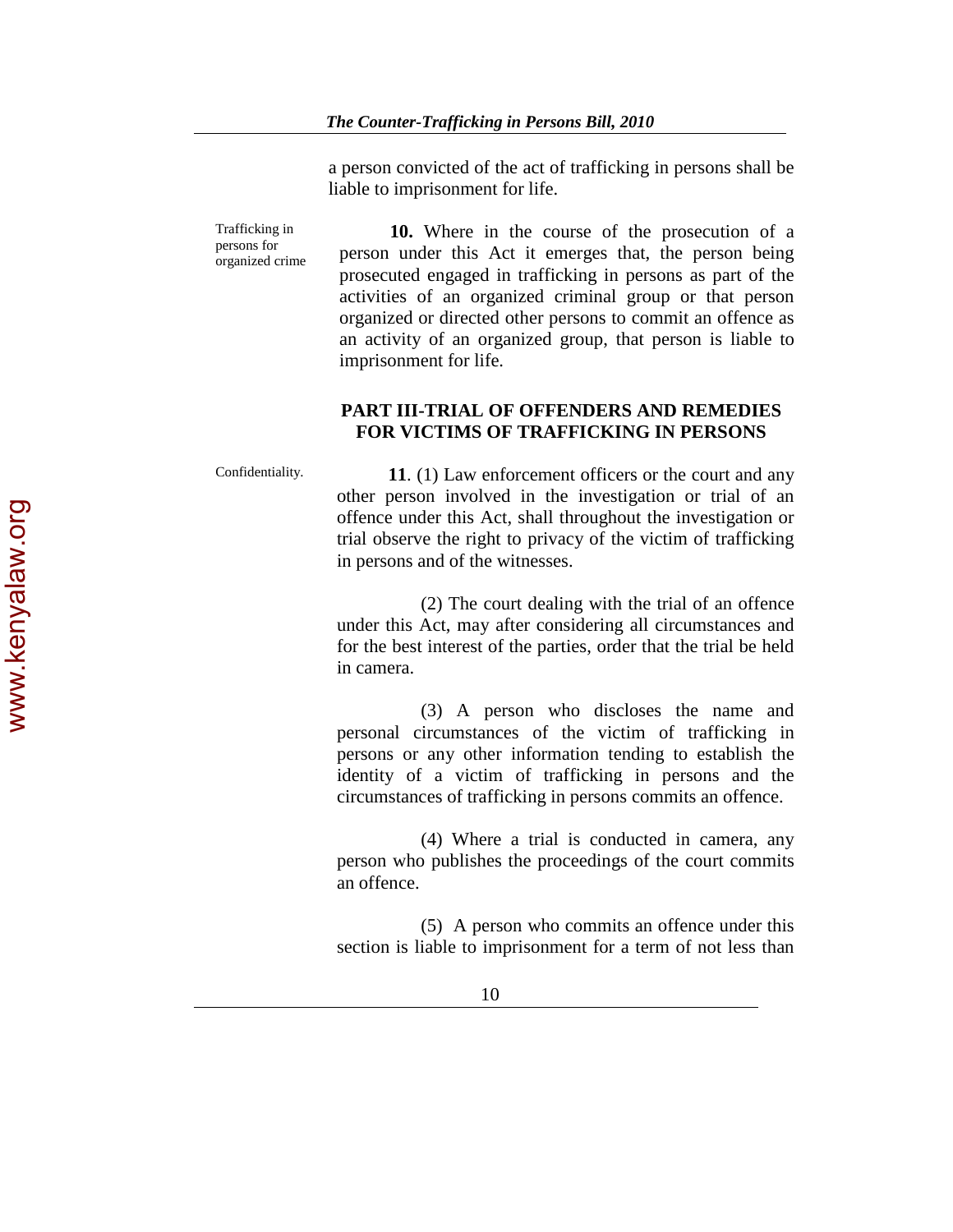a person convicted of the act of trafficking in persons shall be liable to imprisonment for life.

Trafficking in persons for organized crime  **10.** Where in the course of the prosecution of a person under this Act it emerges that, the person being prosecuted engaged in trafficking in persons as part of the activities of an organized criminal group or that person organized or directed other persons to commit an offence as an activity of an organized group, that person is liable to imprisonment for life.

# **PART III-TRIAL OF OFFENDERS AND REMEDIES FOR VICTIMS OF TRAFFICKING IN PERSONS**

Confidentiality. **11.** (1) Law enforcement officers or the court and any other person involved in the investigation or trial of an offence under this Act, shall throughout the investigation or trial observe the right to privacy of the victim of trafficking in persons and of the witnesses.

> (2) The court dealing with the trial of an offence under this Act, may after considering all circumstances and for the best interest of the parties, order that the trial be held in camera.

> (3) A person who discloses the name and personal circumstances of the victim of trafficking in persons or any other information tending to establish the identity of a victim of trafficking in persons and the circumstances of trafficking in persons commits an offence.

> (4) Where a trial is conducted in camera, any person who publishes the proceedings of the court commits an offence.

> (5) A person who commits an offence under this section is liable to imprisonment for a term of not less than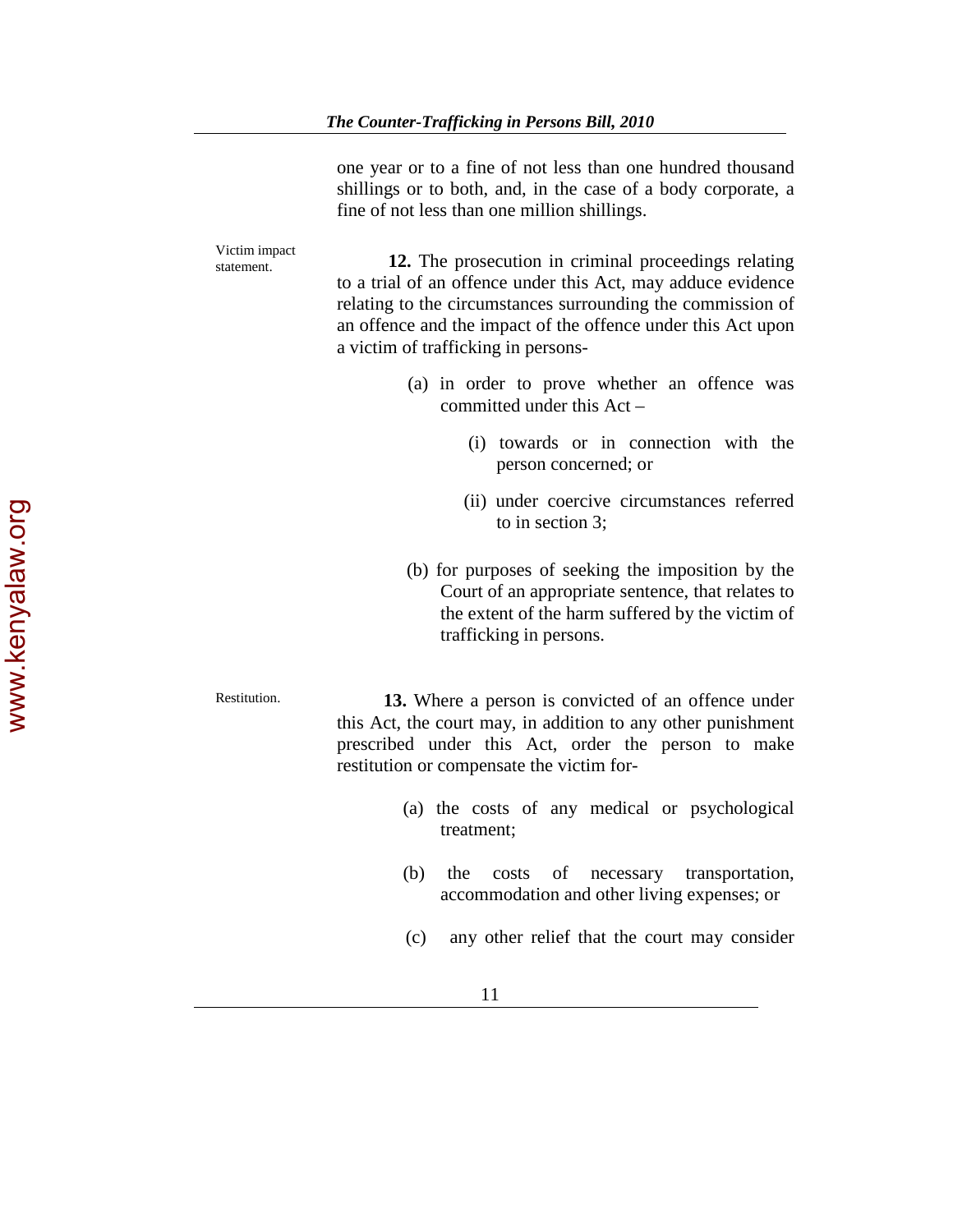one year or to a fine of not less than one hundred thousand shillings or to both, and, in the case of a body corporate, a fine of not less than one million shillings.

Victim impact statement. **12.** The prosecution in criminal proceedings relating to a trial of an offence under this Act, may adduce evidence relating to the circumstances surrounding the commission of an offence and the impact of the offence under this Act upon a victim of trafficking in persons- (a) in order to prove whether an offence was committed under this Act – (i) towards or in connection with the person concerned; or (ii) under coercive circumstances referred to in section 3; (b) for purposes of seeking the imposition by the Court of an appropriate sentence, that relates to the extent of the harm suffered by the victim of trafficking in persons. Restitution. **13.** Where a person is convicted of an offence under this Act, the court may, in addition to any other punishment prescribed under this Act, order the person to make restitution or compensate the victim for- (a) the costs of any medical or psychological treatment; (b) the costs of necessary transportation, accommodation and other living expenses; or (c) any other relief that the court may consider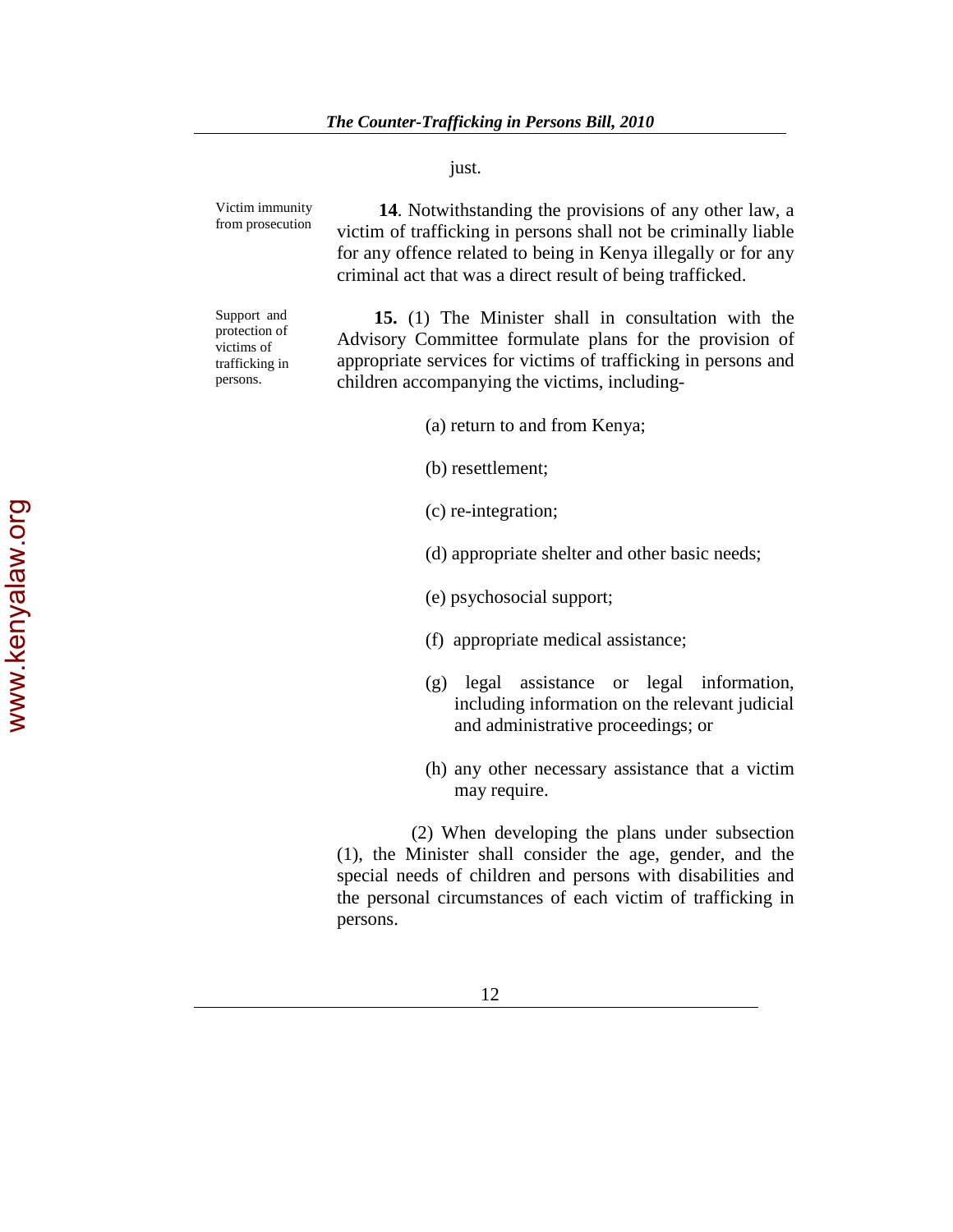just.

| Victim immunity<br>from prosecution                                      | 14. Notwithstanding the provisions of any other law, a<br>victim of trafficking in persons shall not be criminally liable<br>for any offence related to being in Kenya illegally or for any<br>criminal act that was a direct result of being trafficked. |
|--------------------------------------------------------------------------|-----------------------------------------------------------------------------------------------------------------------------------------------------------------------------------------------------------------------------------------------------------|
| Support and<br>protection of<br>victims of<br>trafficking in<br>persons. | 15. (1) The Minister shall in consultation with the<br>Advisory Committee formulate plans for the provision of<br>appropriate services for victims of trafficking in persons and<br>children accompanying the victims, including-                         |
|                                                                          | (a) return to and from Kenya;                                                                                                                                                                                                                             |
|                                                                          | (b) resettlement;                                                                                                                                                                                                                                         |

- (c) re-integration;
- (d) appropriate shelter and other basic needs;
- (e) psychosocial support;
- (f) appropriate medical assistance;
- (g) legal assistance or legal information, including information on the relevant judicial and administrative proceedings; or
- (h) any other necessary assistance that a victim may require.

 (2) When developing the plans under subsection (1), the Minister shall consider the age, gender, and the special needs of children and persons with disabilities and the personal circumstances of each victim of trafficking in persons.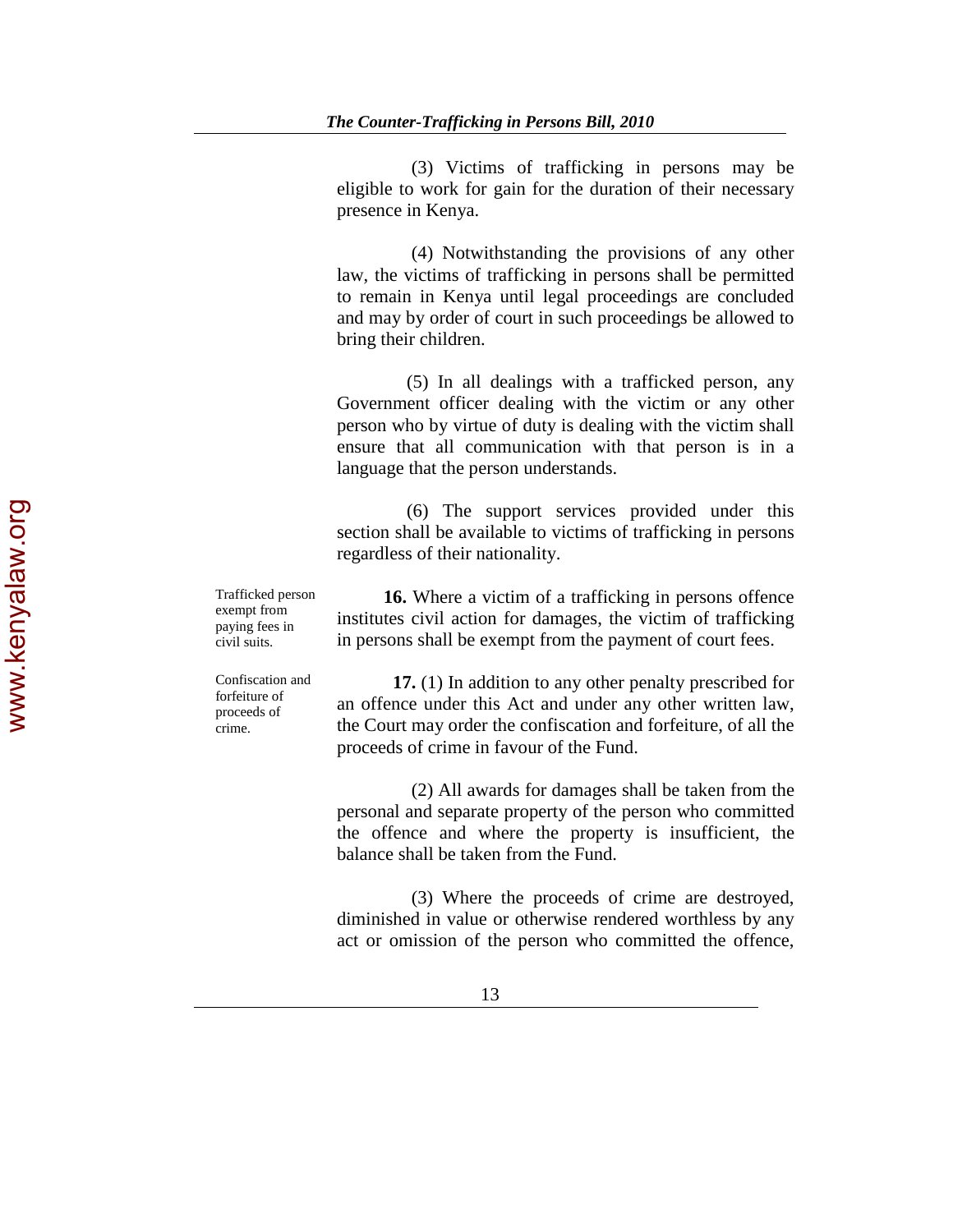(3) Victims of trafficking in persons may be eligible to work for gain for the duration of their necessary presence in Kenya.

 (4) Notwithstanding the provisions of any other law, the victims of trafficking in persons shall be permitted to remain in Kenya until legal proceedings are concluded and may by order of court in such proceedings be allowed to bring their children.

 (5) In all dealings with a trafficked person, any Government officer dealing with the victim or any other person who by virtue of duty is dealing with the victim shall ensure that all communication with that person is in a language that the person understands.

 (6) The support services provided under this section shall be available to victims of trafficking in persons regardless of their nationality.

 **16.** Where a victim of a trafficking in persons offence

Trafficked person exempt from paying fees in civil suits.

institutes civil action for damages, the victim of trafficking in persons shall be exempt from the payment of court fees.

Confiscation and forfeiture of proceeds of crime.

 **17.** (1) In addition to any other penalty prescribed for an offence under this Act and under any other written law, the Court may order the confiscation and forfeiture, of all the proceeds of crime in favour of the Fund.

 (2) All awards for damages shall be taken from the personal and separate property of the person who committed the offence and where the property is insufficient, the balance shall be taken from the Fund.

 (3) Where the proceeds of crime are destroyed, diminished in value or otherwise rendered worthless by any act or omission of the person who committed the offence,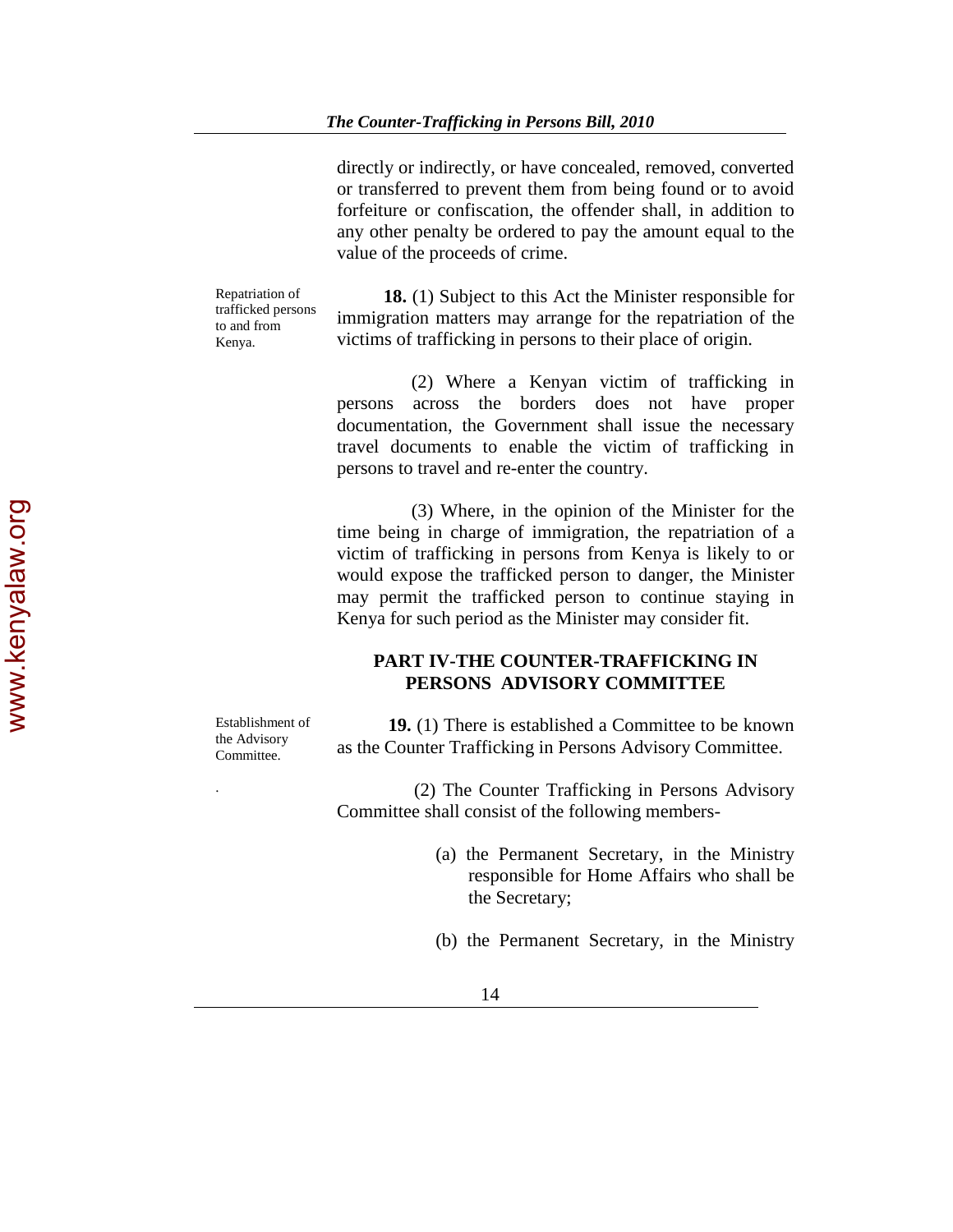directly or indirectly, or have concealed, removed, converted or transferred to prevent them from being found or to avoid forfeiture or confiscation, the offender shall, in addition to any other penalty be ordered to pay the amount equal to the value of the proceeds of crime.

Repatriation of trafficked persons to and from Kenya.

 **18.** (1) Subject to this Act the Minister responsible for immigration matters may arrange for the repatriation of the victims of trafficking in persons to their place of origin.

 (2) Where a Kenyan victim of trafficking in persons across the borders does not have proper documentation, the Government shall issue the necessary travel documents to enable the victim of trafficking in persons to travel and re-enter the country.

 (3) Where, in the opinion of the Minister for the time being in charge of immigration, the repatriation of a victim of trafficking in persons from Kenya is likely to or would expose the trafficked person to danger, the Minister may permit the trafficked person to continue staying in Kenya for such period as the Minister may consider fit.

# **PART IV-THE COUNTER-TRAFFICKING IN PERSONS ADVISORY COMMITTEE**

Establishment of the Advisory Committee.

**19.** (1) There is established a Committee to be known as the Counter Trafficking in Persons Advisory Committee.

. (2) The Counter Trafficking in Persons Advisory Committee shall consist of the following members-

- (a) the Permanent Secretary, in the Ministry responsible for Home Affairs who shall be the Secretary;
- (b) the Permanent Secretary, in the Ministry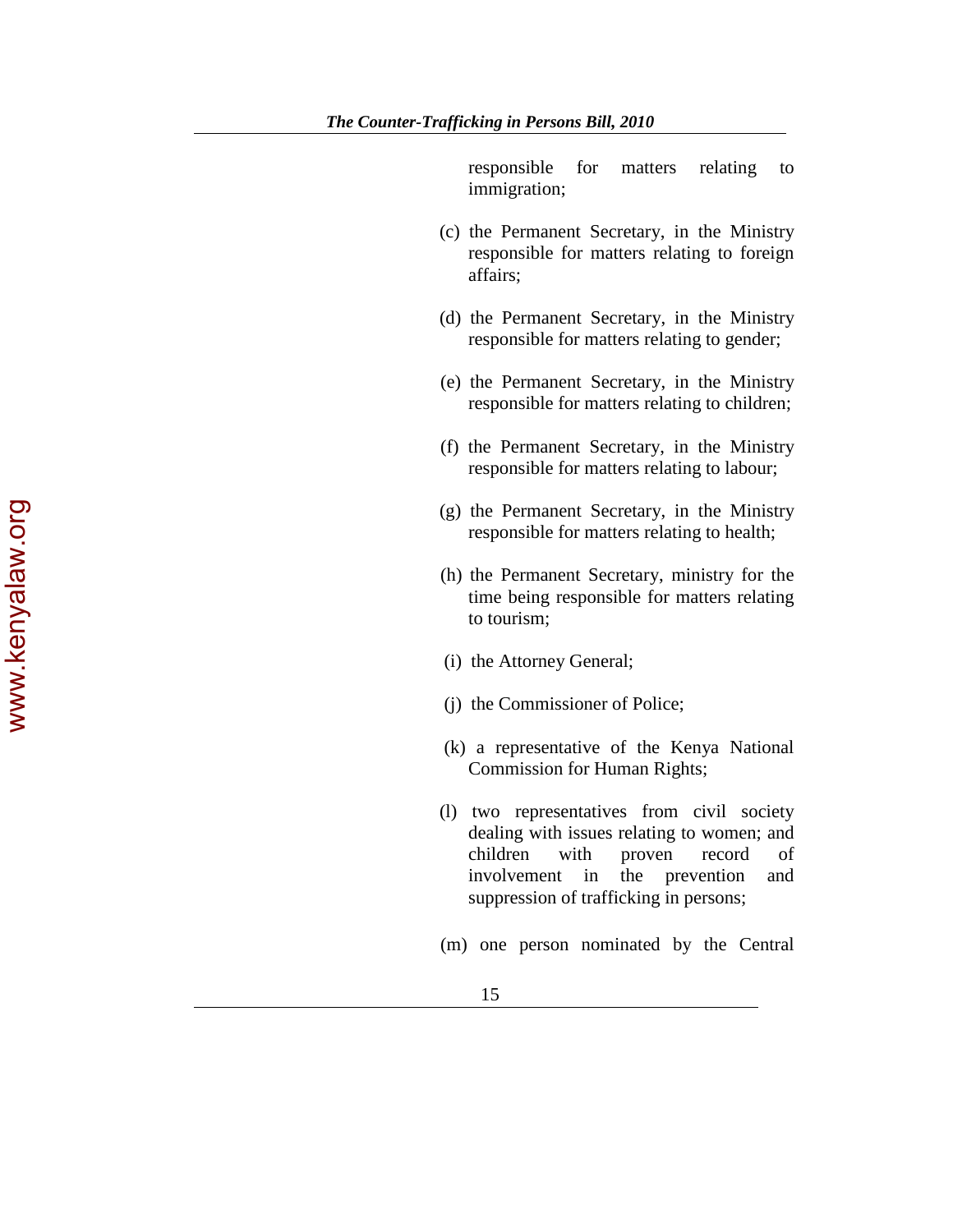responsible for matters relating to immigration;

- (c) the Permanent Secretary, in the Ministry responsible for matters relating to foreign affairs;
- (d) the Permanent Secretary, in the Ministry responsible for matters relating to gender;
- (e) the Permanent Secretary, in the Ministry responsible for matters relating to children;
- (f) the Permanent Secretary, in the Ministry responsible for matters relating to labour;
- (g) the Permanent Secretary, in the Ministry responsible for matters relating to health;
- (h) the Permanent Secretary, ministry for the time being responsible for matters relating to tourism;
- (i) the Attorney General;
- (j) the Commissioner of Police;
- (k) a representative of the Kenya National Commission for Human Rights;
- (l) two representatives from civil society dealing with issues relating to women; and children with proven record of involvement in the prevention and suppression of trafficking in persons;
- (m) one person nominated by the Central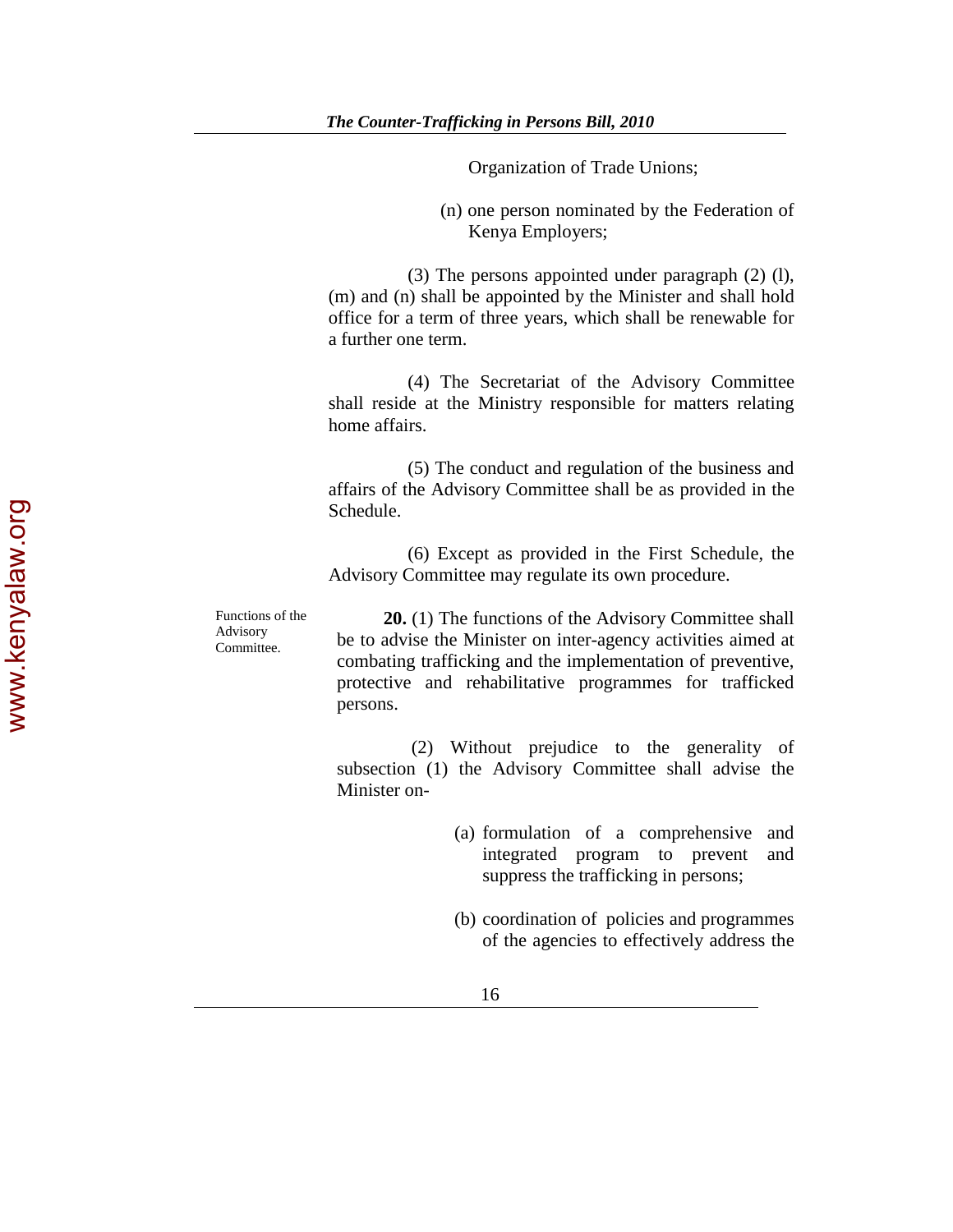Organization of Trade Unions;

(n) one person nominated by the Federation of Kenya Employers;

 (3) The persons appointed under paragraph (2) (l), (m) and (n) shall be appointed by the Minister and shall hold office for a term of three years, which shall be renewable for a further one term.

 (4) The Secretariat of the Advisory Committee shall reside at the Ministry responsible for matters relating home affairs.

 (5) The conduct and regulation of the business and affairs of the Advisory Committee shall be as provided in the Schedule.

 (6) Except as provided in the First Schedule, the Advisory Committee may regulate its own procedure.

Functions of the Advisory Committee.

 **20.** (1) The functions of the Advisory Committee shall be to advise the Minister on inter-agency activities aimed at combating trafficking and the implementation of preventive, protective and rehabilitative programmes for trafficked persons.

 (2) Without prejudice to the generality of subsection (1) the Advisory Committee shall advise the Minister on-

- (a) formulation of a comprehensive and integrated program to prevent and suppress the trafficking in persons;
- (b) coordination of policies and programmes of the agencies to effectively address the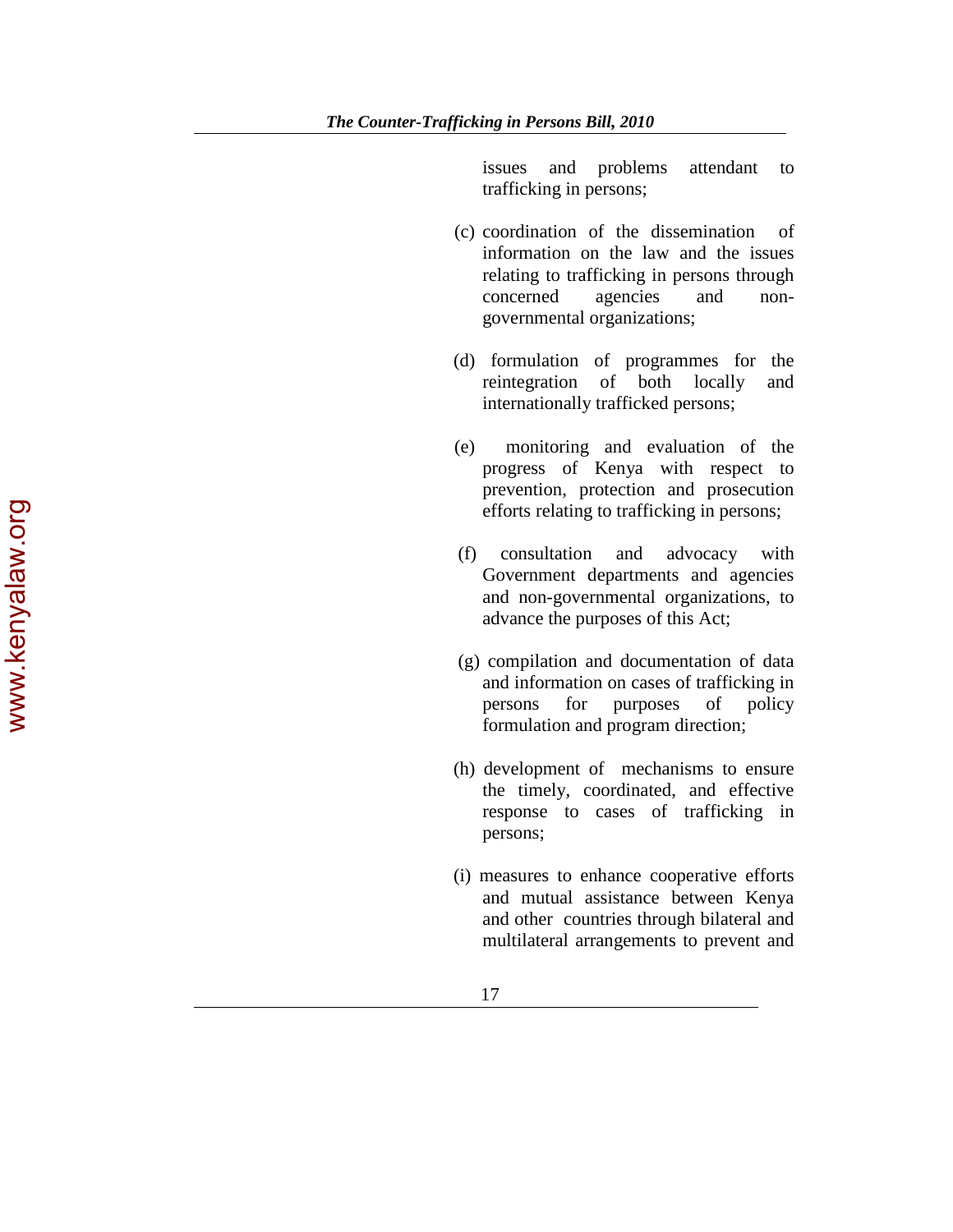issues and problems attendant to trafficking in persons;

- (c) coordination of the dissemination of information on the law and the issues relating to trafficking in persons through concerned agencies and nongovernmental organizations;
- (d) formulation of programmes for the reintegration of both locally and internationally trafficked persons;
- (e) monitoring and evaluation of the progress of Kenya with respect to prevention, protection and prosecution efforts relating to trafficking in persons;
- (f) consultation and advocacy with Government departments and agencies and non-governmental organizations, to advance the purposes of this Act;
- (g) compilation and documentation of data and information on cases of trafficking in persons for purposes of policy formulation and program direction;
- (h) development of mechanisms to ensure the timely, coordinated, and effective response to cases of trafficking in persons;
- (i) measures to enhance cooperative efforts and mutual assistance between Kenya and other countries through bilateral and multilateral arrangements to prevent and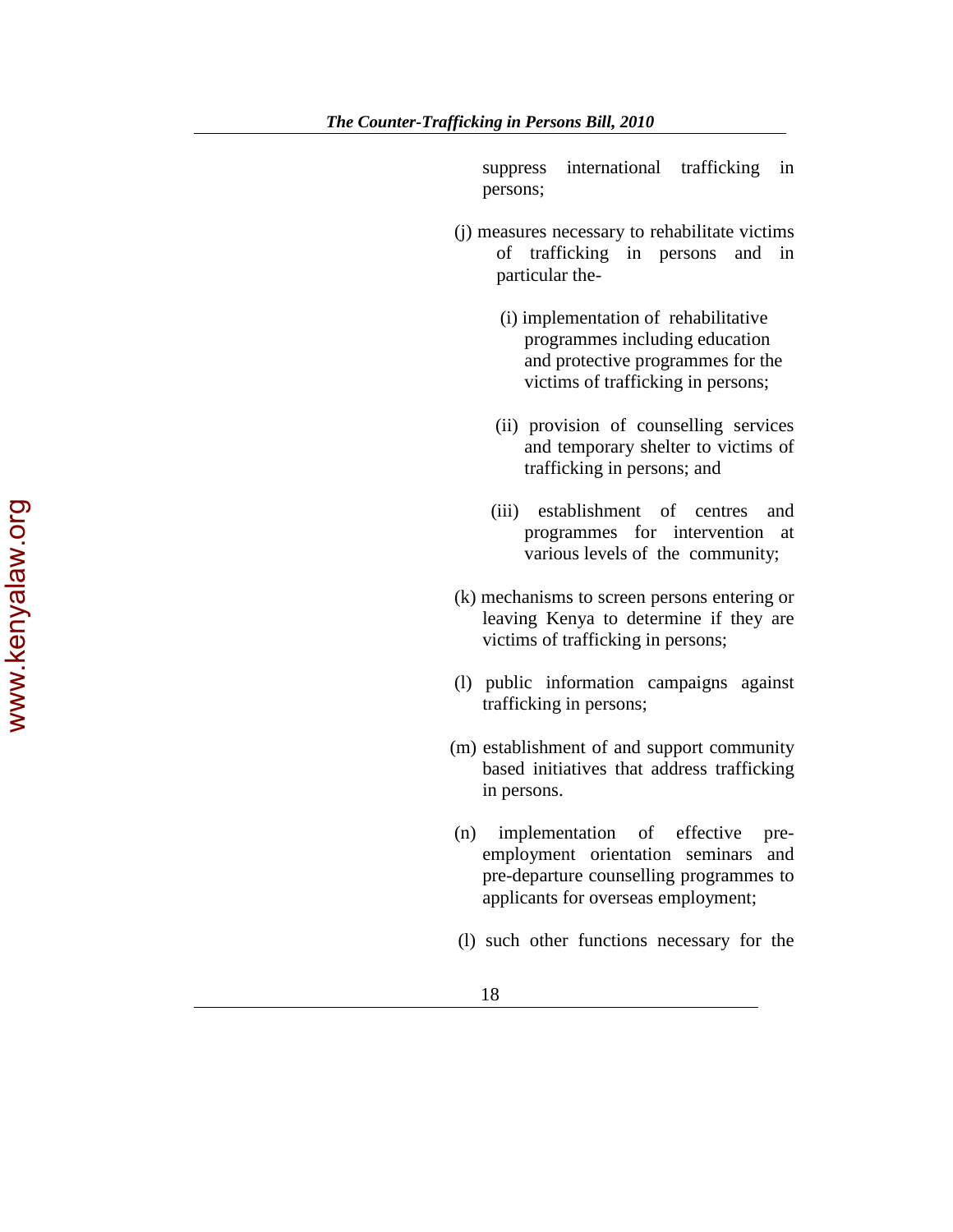suppress international trafficking in persons;

- (j) measures necessary to rehabilitate victims of trafficking in persons and in particular the-
	- (i) implementation of rehabilitative programmes including education and protective programmes for the victims of trafficking in persons;
	- (ii) provision of counselling services and temporary shelter to victims of trafficking in persons; and
	- (iii) establishment of centres and programmes for intervention at various levels of the community;
- (k) mechanisms to screen persons entering or leaving Kenya to determine if they are victims of trafficking in persons;
- (l) public information campaigns against trafficking in persons;
- (m) establishment of and support community based initiatives that address trafficking in persons.
- (n) implementation of effective preemployment orientation seminars and pre-departure counselling programmes to applicants for overseas employment;
- (l) such other functions necessary for the

www.kenyalaw.org www.kenyalaw.org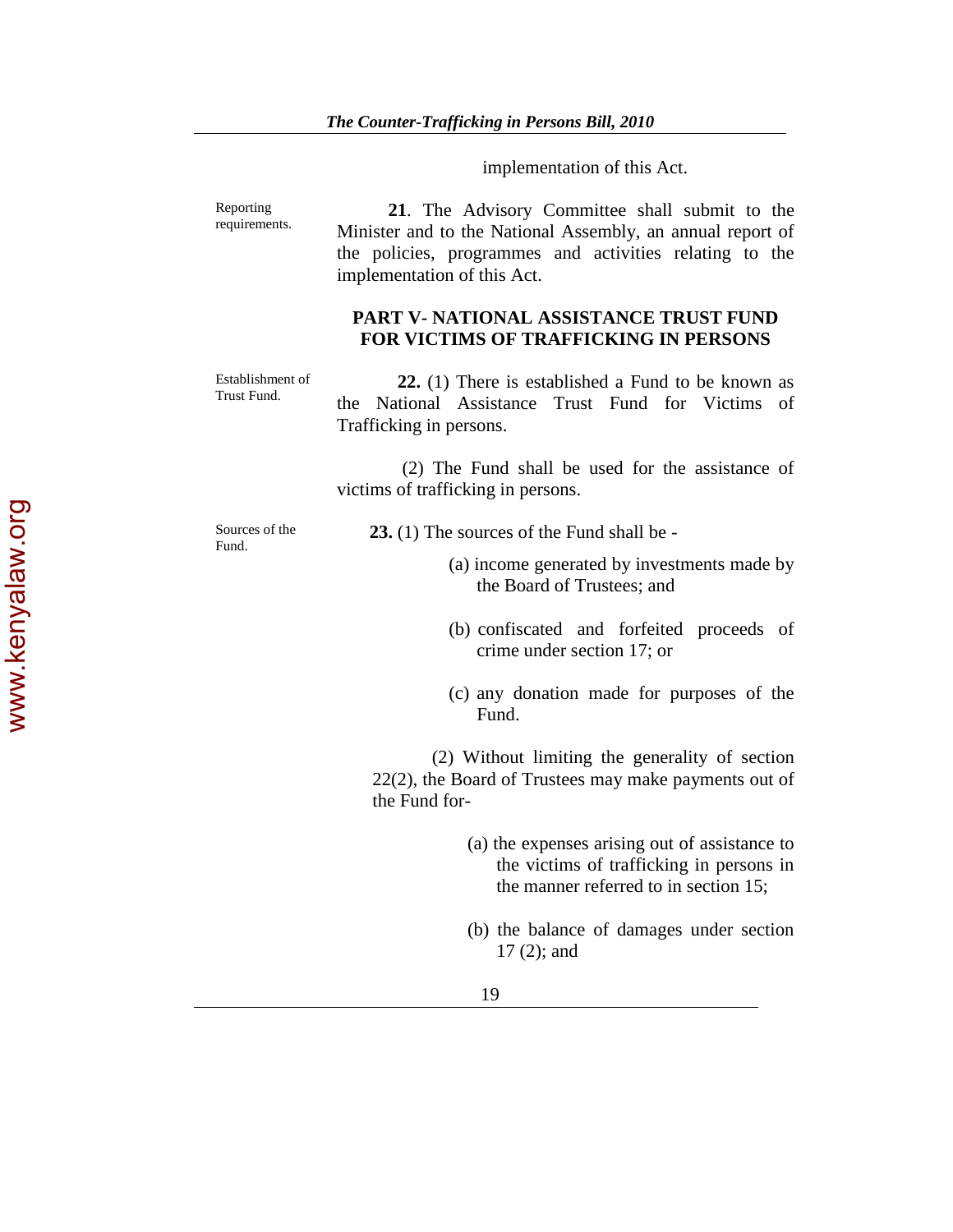implementation of this Act.

Reporting Reporting **21.** The Advisory Committee shall submit to the requirements. Minister and to the National Assembly, an annual report of the policies, programmes and activities relating to the implementation of this Act.

# **PART V- NATIONAL ASSISTANCE TRUST FUND FOR VICTIMS OF TRAFFICKING IN PERSONS**

Establishment of

**22.** (1) There is established a Fund to be known as the National Assistance Trust Fund for Victims of Trafficking in persons.

 (2) The Fund shall be used for the assistance of victims of trafficking in persons.

Sources of the

Sources of the **23.** (1) The sources of the Fund shall be -<br>Fund.

- (a) income generated by investments made by the Board of Trustees; and
- (b) confiscated and forfeited proceeds of crime under section 17; or
- (c) any donation made for purposes of the Fund.

 (2) Without limiting the generality of section 22(2), the Board of Trustees may make payments out of the Fund for-

- (a) the expenses arising out of assistance to the victims of trafficking in persons in the manner referred to in section 15;
- (b) the balance of damages under section 17 (2); and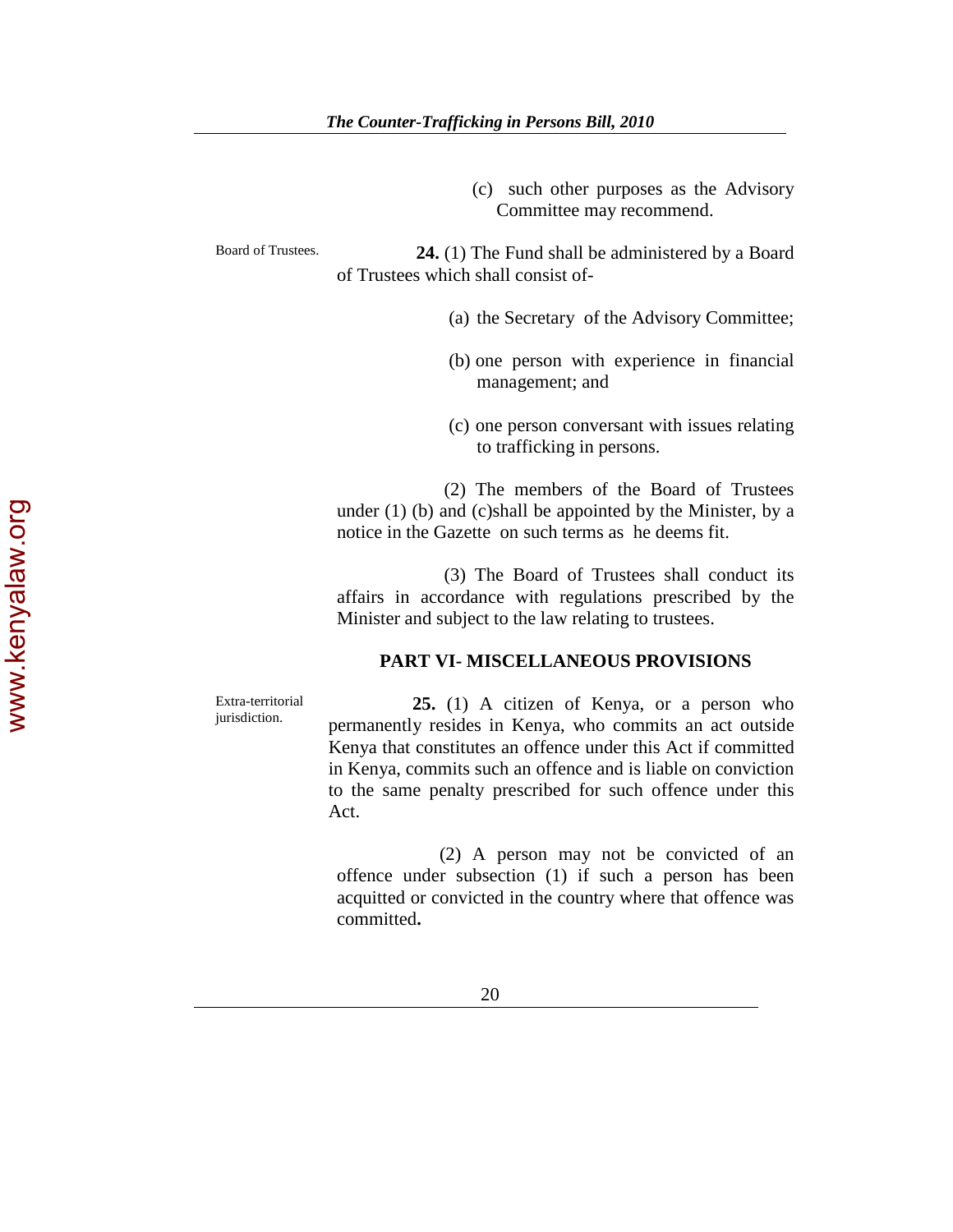(c) such other purposes as the Advisory Committee may recommend.

Board of Trustees. **24.** (1) The Fund shall be administered by a Board of Trustees which shall consist of-

- (a) the Secretary of the Advisory Committee;
- (b) one person with experience in financial management; and
- (c) one person conversant with issues relating to trafficking in persons.

 (2) The members of the Board of Trustees under (1) (b) and (c)shall be appointed by the Minister, by a notice in the Gazette on such terms as he deems fit.

 (3) The Board of Trustees shall conduct its affairs in accordance with regulations prescribed by the Minister and subject to the law relating to trustees.

### **PART VI- MISCELLANEOUS PROVISIONS**

Extra-territorial

Extra-territorial **25.** (1) A citizen of Kenya, or a person who jurisdiction. permanently resides in Kenya, who commits an act outside Kenya that constitutes an offence under this Act if committed in Kenya, commits such an offence and is liable on conviction to the same penalty prescribed for such offence under this Act.

> (2) A person may not be convicted of an offence under subsection (1) if such a person has been acquitted or convicted in the country where that offence was committed**.**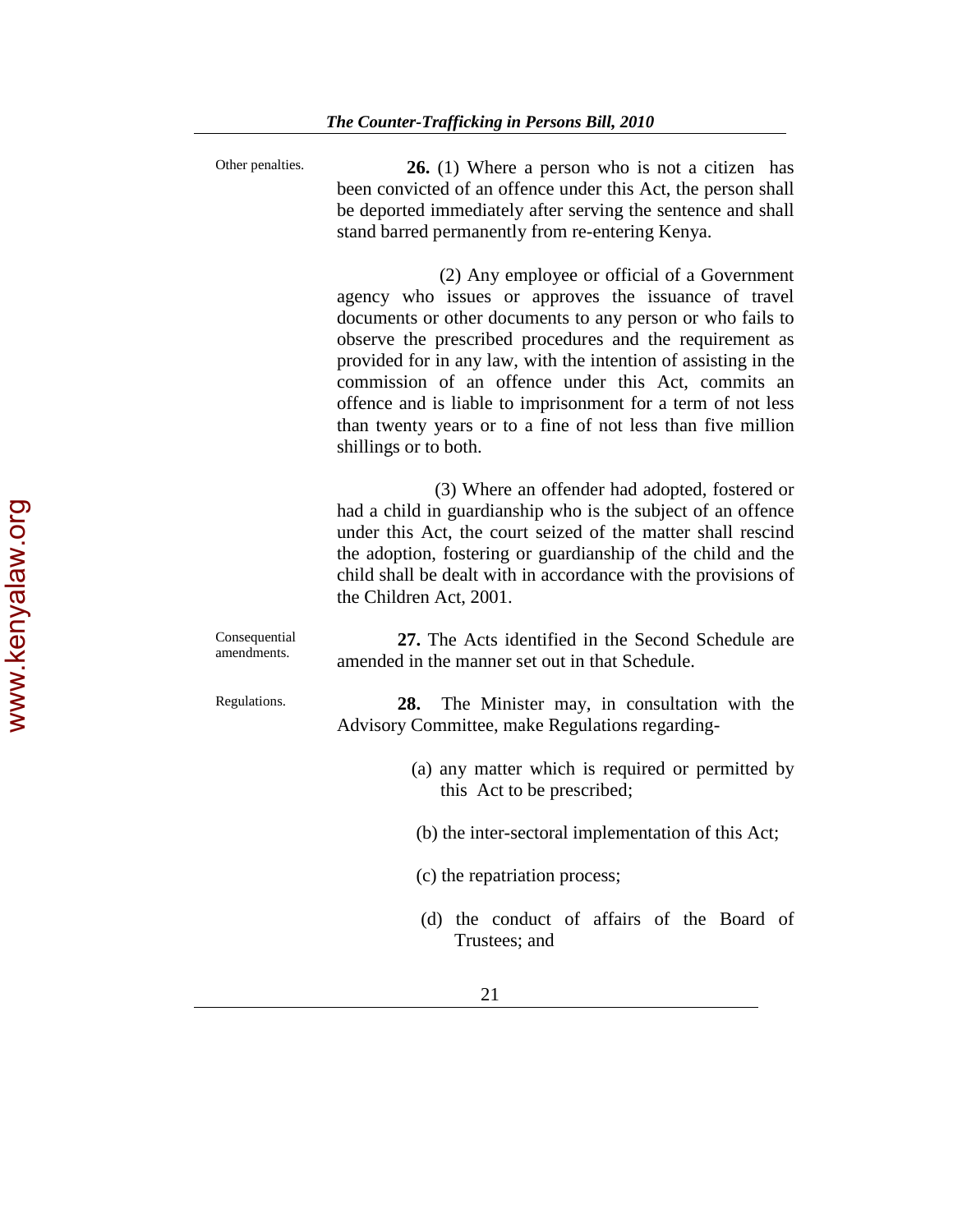| Other penalties.             | <b>26.</b> (1) Where a person who is not a citizen has<br>been convicted of an offence under this Act, the person shall<br>be deported immediately after serving the sentence and shall<br>stand barred permanently from re-entering Kenya.                                                                                                                                                                                                                                                                       |
|------------------------------|-------------------------------------------------------------------------------------------------------------------------------------------------------------------------------------------------------------------------------------------------------------------------------------------------------------------------------------------------------------------------------------------------------------------------------------------------------------------------------------------------------------------|
|                              | (2) Any employee or official of a Government<br>agency who issues or approves the issuance of travel<br>documents or other documents to any person or who fails to<br>observe the prescribed procedures and the requirement as<br>provided for in any law, with the intention of assisting in the<br>commission of an offence under this Act, commits an<br>offence and is liable to imprisonment for a term of not less<br>than twenty years or to a fine of not less than five million<br>shillings or to both. |
|                              | (3) Where an offender had adopted, fostered or<br>had a child in guardianship who is the subject of an offence<br>under this Act, the court seized of the matter shall rescind<br>the adoption, fostering or guardianship of the child and the<br>child shall be dealt with in accordance with the provisions of<br>the Children Act, 2001.                                                                                                                                                                       |
| Consequential<br>amendments. | 27. The Acts identified in the Second Schedule are<br>amended in the manner set out in that Schedule.                                                                                                                                                                                                                                                                                                                                                                                                             |
| Regulations.                 | The Minister may, in consultation with the<br>28.<br>Advisory Committee, make Regulations regarding-                                                                                                                                                                                                                                                                                                                                                                                                              |
|                              | (a) any matter which is required or permitted by<br>this Act to be prescribed;                                                                                                                                                                                                                                                                                                                                                                                                                                    |
|                              | (b) the inter-sectoral implementation of this Act;                                                                                                                                                                                                                                                                                                                                                                                                                                                                |
|                              | (c) the repatriation process;                                                                                                                                                                                                                                                                                                                                                                                                                                                                                     |
|                              | (d) the conduct of affairs of the Board of<br>Trustees; and                                                                                                                                                                                                                                                                                                                                                                                                                                                       |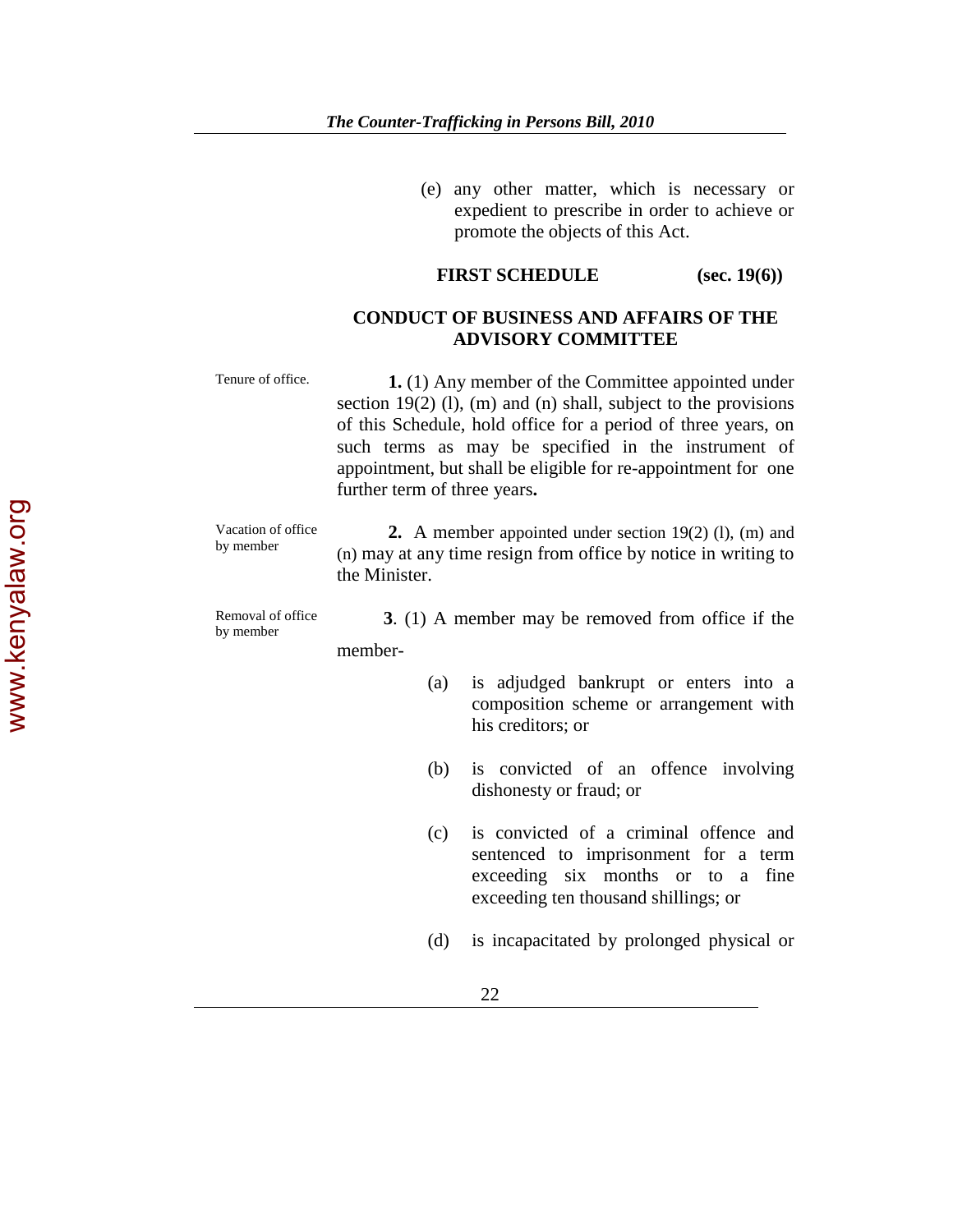(e) any other matter, which is necessary or expedient to prescribe in order to achieve or promote the objects of this Act.

### **FIRST SCHEDULE** (sec. 19(6))

**ADVISORY COMMITTEE**

# **CONDUCT OF BUSINESS AND AFFAIRS OF THE**

Tenure of office. **1.** (1) Any member of the Committee appointed under section 19(2) (l), (m) and (n) shall, subject to the provisions of this Schedule, hold office for a period of three years, on such terms as may be specified in the instrument of appointment, but shall be eligible for re-appointment for one further term of three years**.** 

Vacation of office

Vacation of office **2.** A member appointed under section 19(2) (l), (m) and by member (n) may at any time resign from office by notice in writing to the Minister.

Removal of office<br>by member

by member **3**. (1) A member may be removed from office if the

member-

- (a) is adjudged bankrupt or enters into a composition scheme or arrangement with his creditors; or
- (b) is convicted of an offence involving dishonesty or fraud; or
- (c) is convicted of a criminal offence and sentenced to imprisonment for a term exceeding six months or to a fine exceeding ten thousand shillings; or
- (d) is incapacitated by prolonged physical or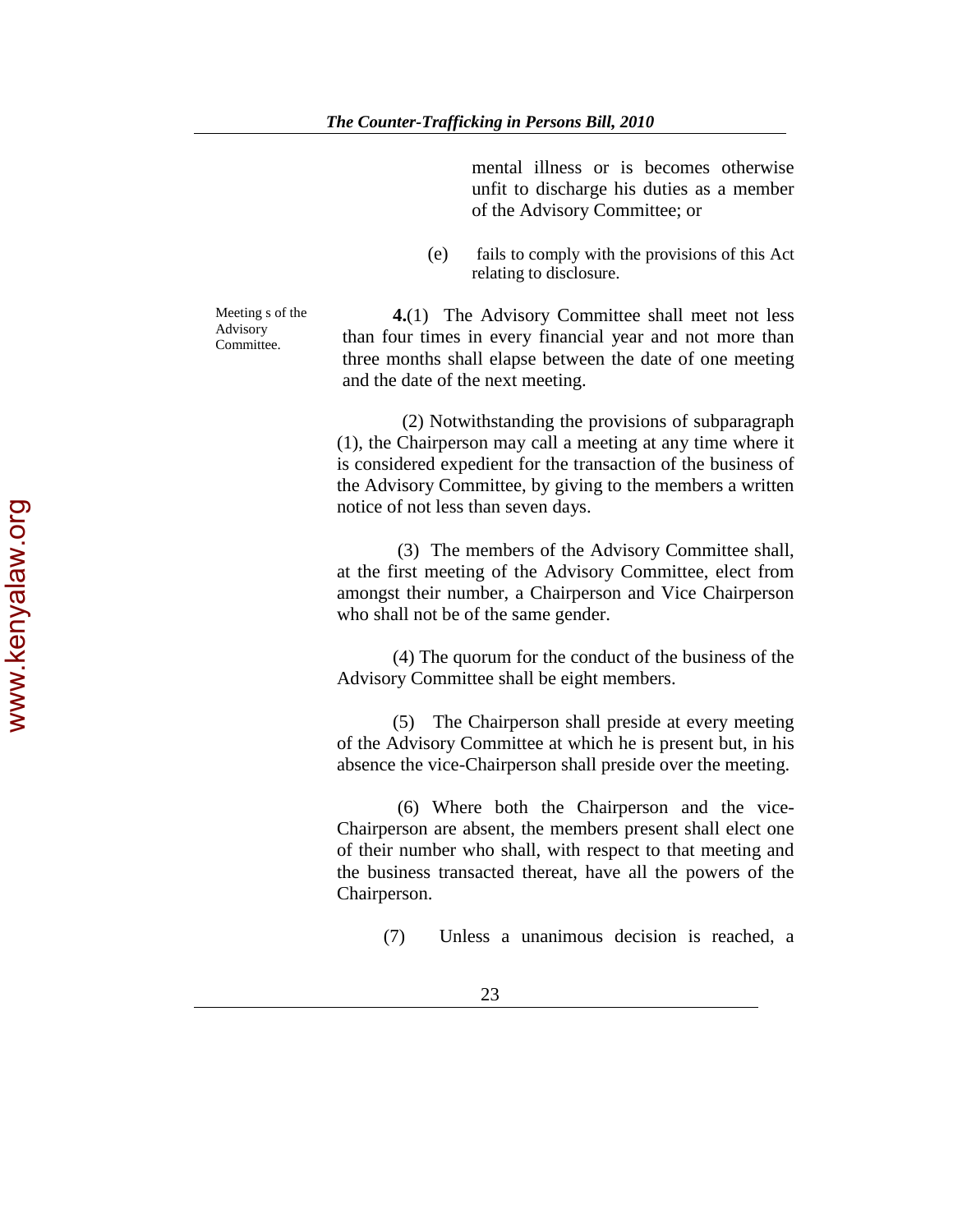mental illness or is becomes otherwise unfit to discharge his duties as a member of the Advisory Committee; or

(e) fails to comply with the provisions of this Act relating to disclosure.

Meeting s of the Advisory Committee.

**4.**(1) The Advisory Committee shall meet not less than four times in every financial year and not more than three months shall elapse between the date of one meeting and the date of the next meeting.

 (2) Notwithstanding the provisions of subparagraph (1), the Chairperson may call a meeting at any time where it is considered expedient for the transaction of the business of the Advisory Committee, by giving to the members a written notice of not less than seven days.

 (3) The members of the Advisory Committee shall, at the first meeting of the Advisory Committee, elect from amongst their number, a Chairperson and Vice Chairperson who shall not be of the same gender.

 (4) The quorum for the conduct of the business of the Advisory Committee shall be eight members.

(5) The Chairperson shall preside at every meeting of the Advisory Committee at which he is present but, in his absence the vice-Chairperson shall preside over the meeting.

 (6) Where both the Chairperson and the vice-Chairperson are absent, the members present shall elect one of their number who shall, with respect to that meeting and the business transacted thereat, have all the powers of the Chairperson.

(7) Unless a unanimous decision is reached, a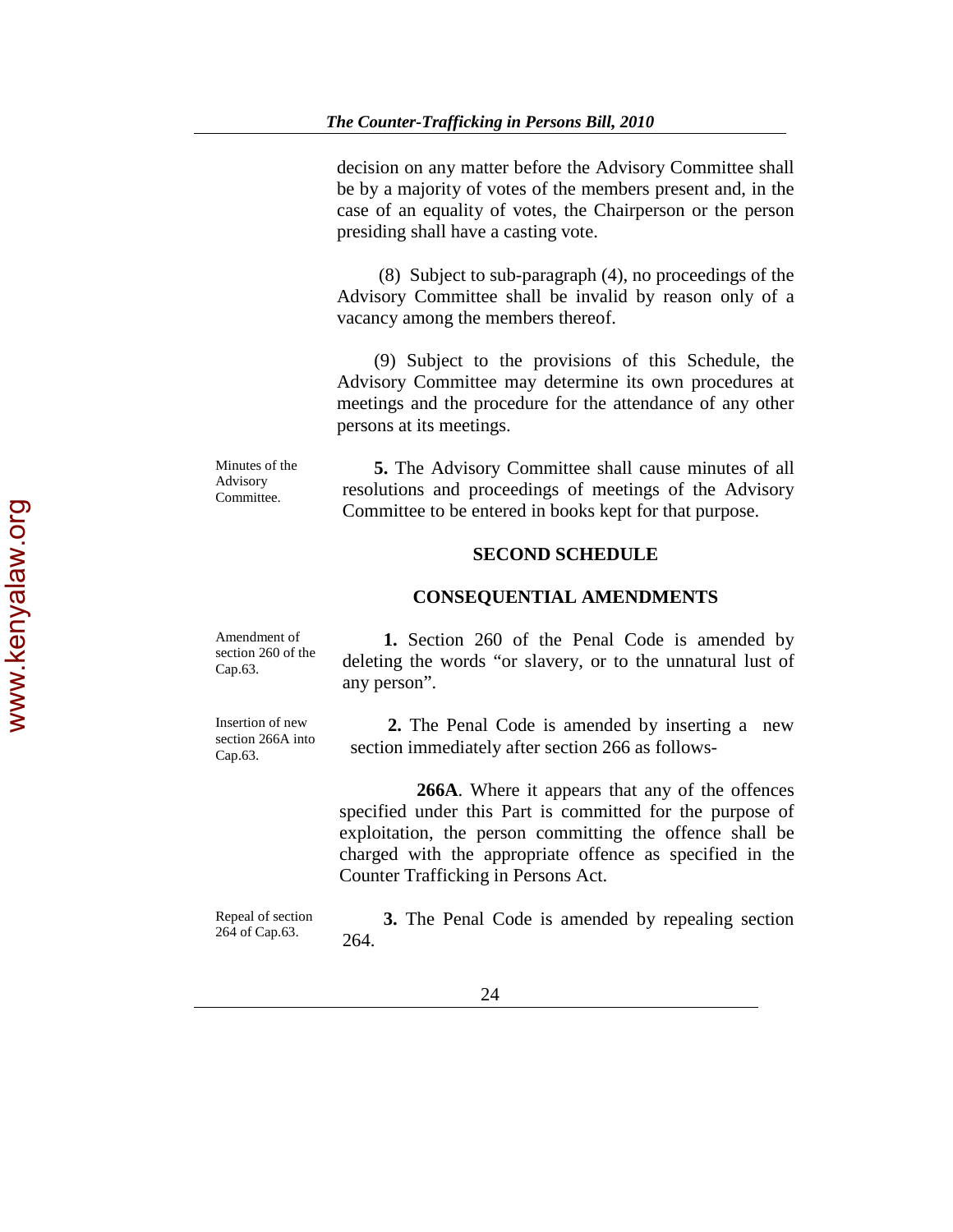decision on any matter before the Advisory Committee shall be by a majority of votes of the members present and, in the case of an equality of votes, the Chairperson or the person presiding shall have a casting vote.

 (8) Subject to sub-paragraph (4), no proceedings of the Advisory Committee shall be invalid by reason only of a vacancy among the members thereof.

 (9) Subject to the provisions of this Schedule, the Advisory Committee may determine its own procedures at meetings and the procedure for the attendance of any other persons at its meetings.

Minutes of the Advisory Committee.

 **5.** The Advisory Committee shall cause minutes of all resolutions and proceedings of meetings of the Advisory Committee to be entered in books kept for that purpose.

### **SECOND SCHEDULE**

### **CONSEQUENTIAL AMENDMENTS**

Amendment of section 260 of the Cap.63. **1.** Section 260 of the Penal Code is amended by deleting the words "or slavery, or to the unnatural lust of any person".

Insertion of new section 266A into Cap.63.

 **2.** The Penal Code is amended by inserting a new section immediately after section 266 as follows-

**266A**. Where it appears that any of the offences specified under this Part is committed for the purpose of exploitation, the person committing the offence shall be charged with the appropriate offence as specified in the Counter Trafficking in Persons Act.

Repeal of section 264 of Cap.63.

**3.** The Penal Code is amended by repealing section 264.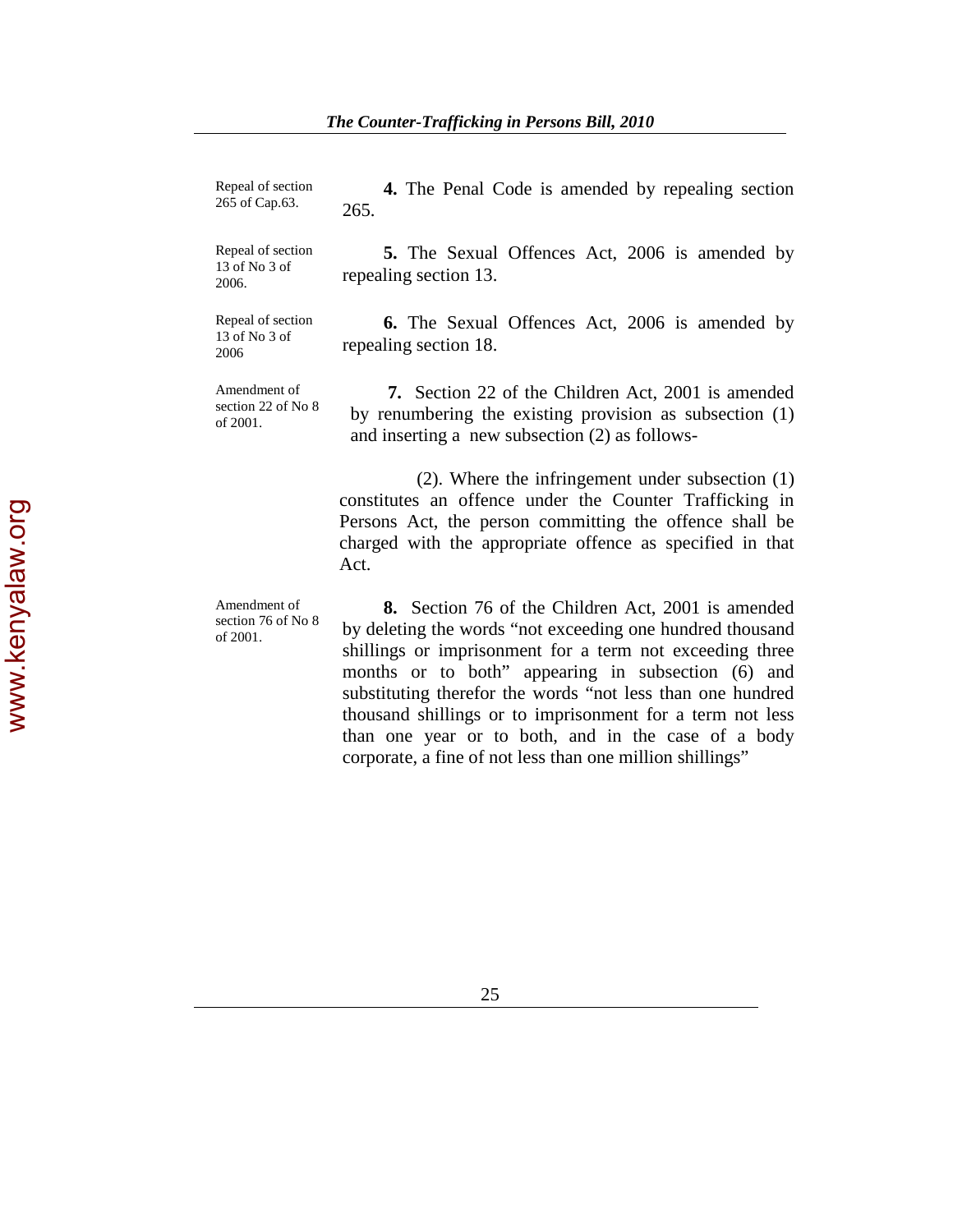| Repeal of section<br>265 of Cap.63.            | <b>4.</b> The Penal Code is amended by repealing section<br>265.                                                                                                                                                                                                                                                                                                    |
|------------------------------------------------|---------------------------------------------------------------------------------------------------------------------------------------------------------------------------------------------------------------------------------------------------------------------------------------------------------------------------------------------------------------------|
| Repeal of section<br>13 of No 3 of<br>2006.    | 5. The Sexual Offences Act, 2006 is amended by<br>repealing section 13.                                                                                                                                                                                                                                                                                             |
| Repeal of section<br>13 of No 3 of<br>2006     | <b>6.</b> The Sexual Offences Act, 2006 is amended by<br>repealing section 18.                                                                                                                                                                                                                                                                                      |
| Amendment of<br>section 22 of No 8<br>of 2001. | 7. Section 22 of the Children Act, 2001 is amended<br>by renumbering the existing provision as subsection (1)<br>and inserting a new subsection (2) as follows-                                                                                                                                                                                                     |
|                                                | $(2)$ . Where the infringement under subsection $(1)$<br>constitutes an offence under the Counter Trafficking in<br>Persons Act, the person committing the offence shall be<br>charged with the appropriate offence as specified in that<br>Act.                                                                                                                    |
| Amendment of<br>section 76 of No 8<br>of 2001. | <b>8.</b> Section 76 of the Children Act, 2001 is amended<br>by deleting the words "not exceeding one hundred thousand<br>shillings or imprisonment for a term not exceeding three<br>months or to both" appearing in subsection (6) and<br>substituting therefor the words "not less than one hundred<br>thousand shillings or to imprisonment for a term not less |

than one year or to both, and in the case of a body

corporate, a fine of not less than one million shillings"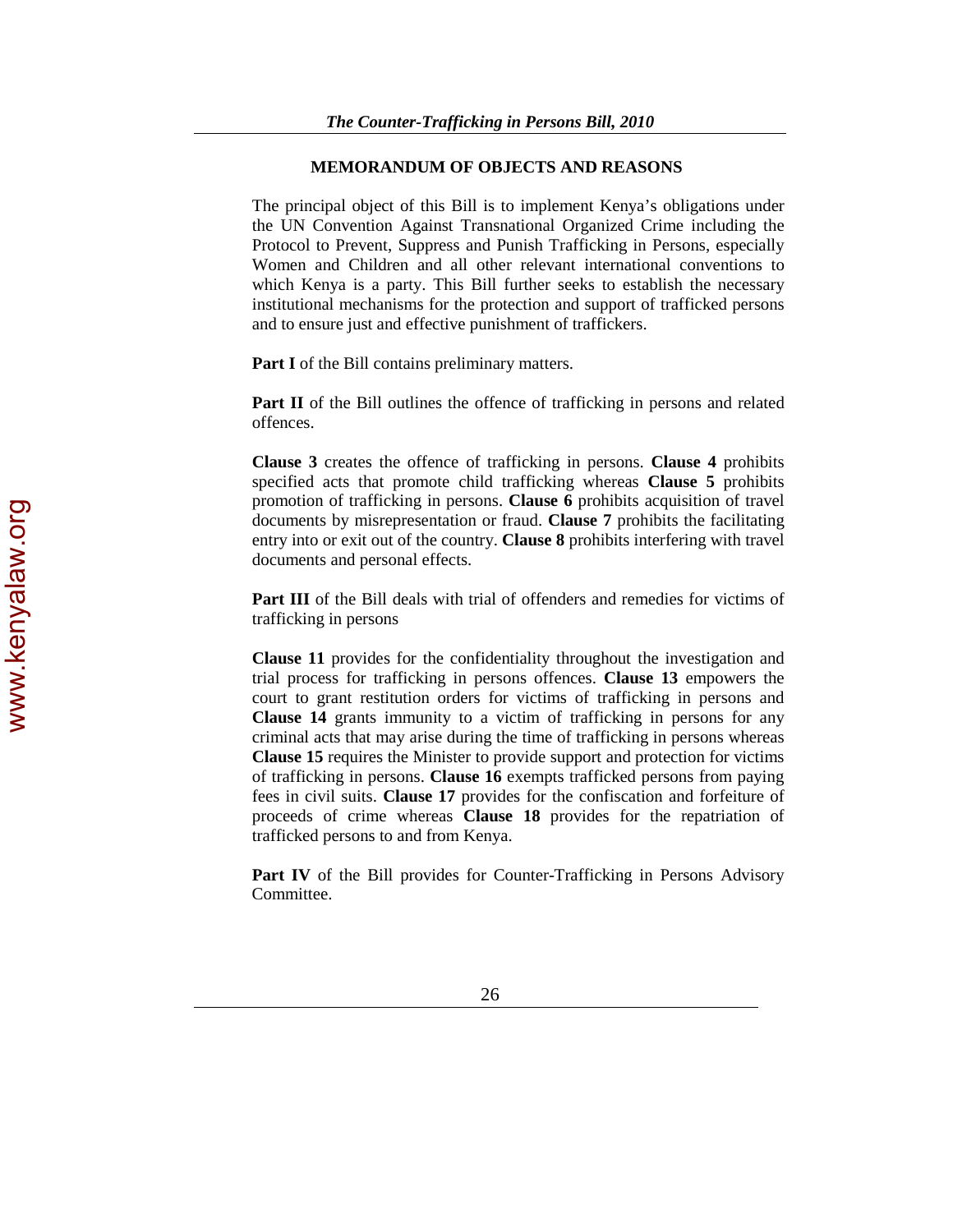### **MEMORANDUM OF OBJECTS AND REASONS**

The principal object of this Bill is to implement Kenya's obligations under the UN Convention Against Transnational Organized Crime including the Protocol to Prevent, Suppress and Punish Trafficking in Persons, especially Women and Children and all other relevant international conventions to which Kenya is a party. This Bill further seeks to establish the necessary institutional mechanisms for the protection and support of trafficked persons and to ensure just and effective punishment of traffickers.

**Part I** of the Bill contains preliminary matters.

**Part II** of the Bill outlines the offence of trafficking in persons and related offences.

**Clause 3** creates the offence of trafficking in persons. **Clause 4** prohibits specified acts that promote child trafficking whereas **Clause 5** prohibits promotion of trafficking in persons. **Clause 6** prohibits acquisition of travel documents by misrepresentation or fraud. **Clause 7** prohibits the facilitating entry into or exit out of the country. **Clause 8** prohibits interfering with travel documents and personal effects.

**Part III** of the Bill deals with trial of offenders and remedies for victims of trafficking in persons

**Clause 11** provides for the confidentiality throughout the investigation and trial process for trafficking in persons offences. **Clause 13** empowers the court to grant restitution orders for victims of trafficking in persons and **Clause 14** grants immunity to a victim of trafficking in persons for any criminal acts that may arise during the time of trafficking in persons whereas **Clause 15** requires the Minister to provide support and protection for victims of trafficking in persons. **Clause 16** exempts trafficked persons from paying fees in civil suits. **Clause 17** provides for the confiscation and forfeiture of proceeds of crime whereas **Clause 18** provides for the repatriation of trafficked persons to and from Kenya.

**Part IV** of the Bill provides for Counter-Trafficking in Persons Advisory Committee.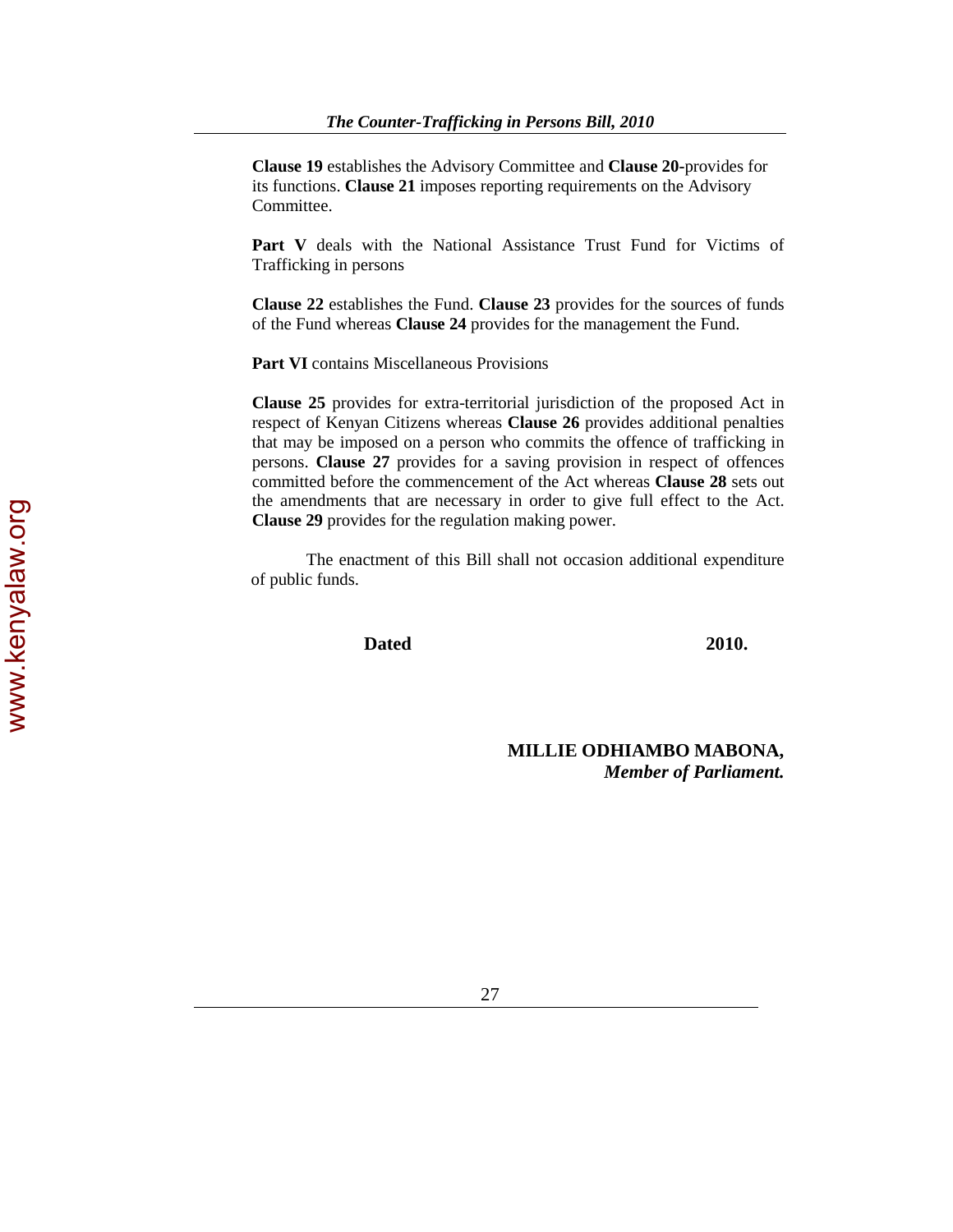**Clause 19** establishes the Advisory Committee and **Clause 20-**provides for its functions. **Clause 21** imposes reporting requirements on the Advisory Committee.

Part V deals with the National Assistance Trust Fund for Victims of Trafficking in persons

**Clause 22** establishes the Fund. **Clause 23** provides for the sources of funds of the Fund whereas **Clause 24** provides for the management the Fund.

**Part VI** contains Miscellaneous Provisions

**Clause 25** provides for extra-territorial jurisdiction of the proposed Act in respect of Kenyan Citizens whereas **Clause 26** provides additional penalties that may be imposed on a person who commits the offence of trafficking in persons. **Clause 27** provides for a saving provision in respect of offences committed before the commencement of the Act whereas **Clause 28** sets out the amendments that are necessary in order to give full effect to the Act. **Clause 29** provides for the regulation making power.

The enactment of this Bill shall not occasion additional expenditure of public funds.

**Dated 2010.** 

**MILLIE ODHIAMBO MABONA,** *Member of Parliament.*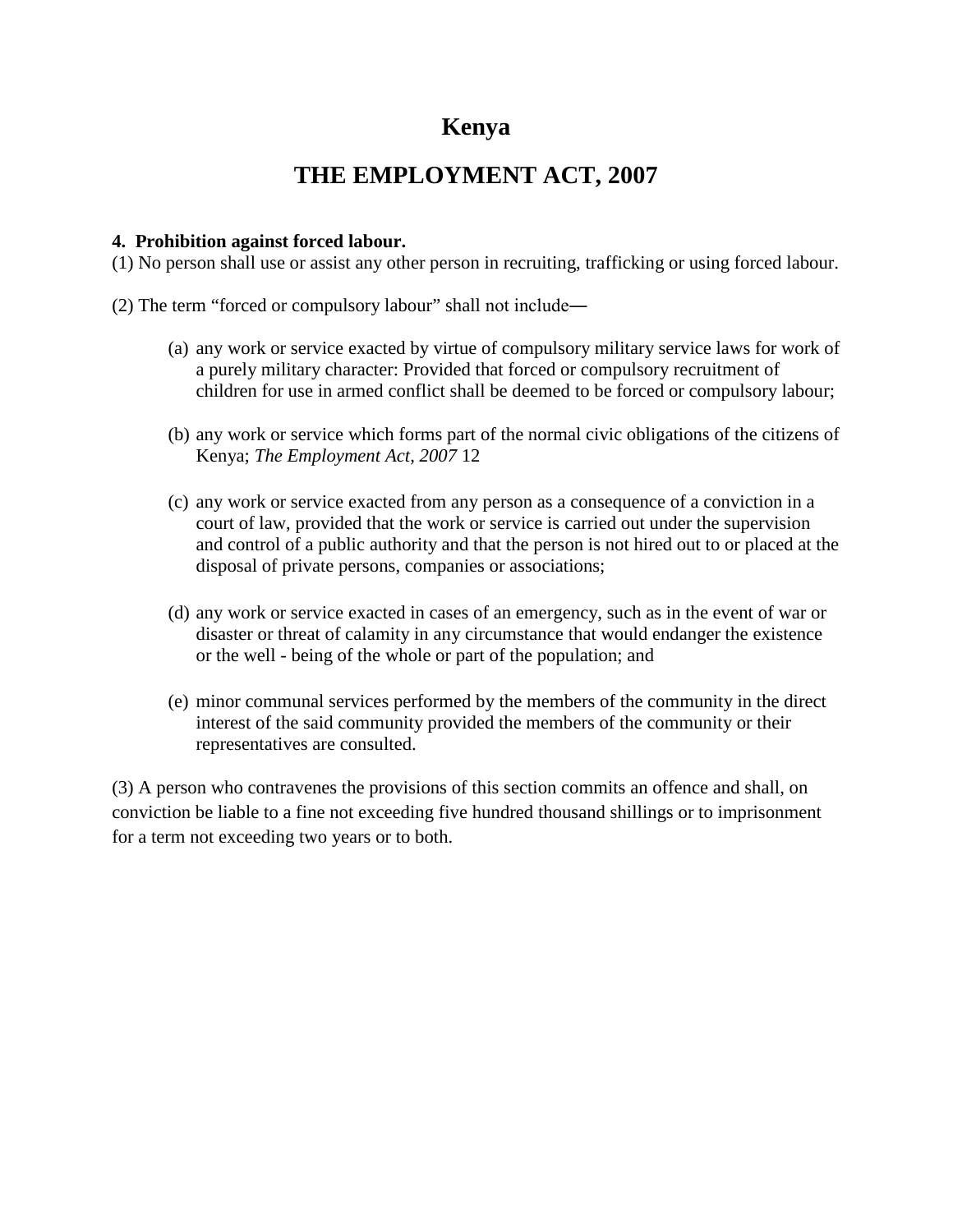# **Kenya**

# **THE EMPLOYMENT ACT, 2007**

# **4. Prohibition against forced labour.**

(1) No person shall use or assist any other person in recruiting, trafficking or using forced labour.

- (2) The term "forced or compulsory labour" shall not include―
	- (a) any work or service exacted by virtue of compulsory military service laws for work of a purely military character: Provided that forced or compulsory recruitment of children for use in armed conflict shall be deemed to be forced or compulsory labour;
	- (b) any work or service which forms part of the normal civic obligations of the citizens of Kenya; *The Employment Act, 2007* 12
	- (c) any work or service exacted from any person as a consequence of a conviction in a court of law, provided that the work or service is carried out under the supervision and control of a public authority and that the person is not hired out to or placed at the disposal of private persons, companies or associations;
	- (d) any work or service exacted in cases of an emergency, such as in the event of war or disaster or threat of calamity in any circumstance that would endanger the existence or the well - being of the whole or part of the population; and
	- (e) minor communal services performed by the members of the community in the direct interest of the said community provided the members of the community or their representatives are consulted.

(3) A person who contravenes the provisions of this section commits an offence and shall, on conviction be liable to a fine not exceeding five hundred thousand shillings or to imprisonment for a term not exceeding two years or to both.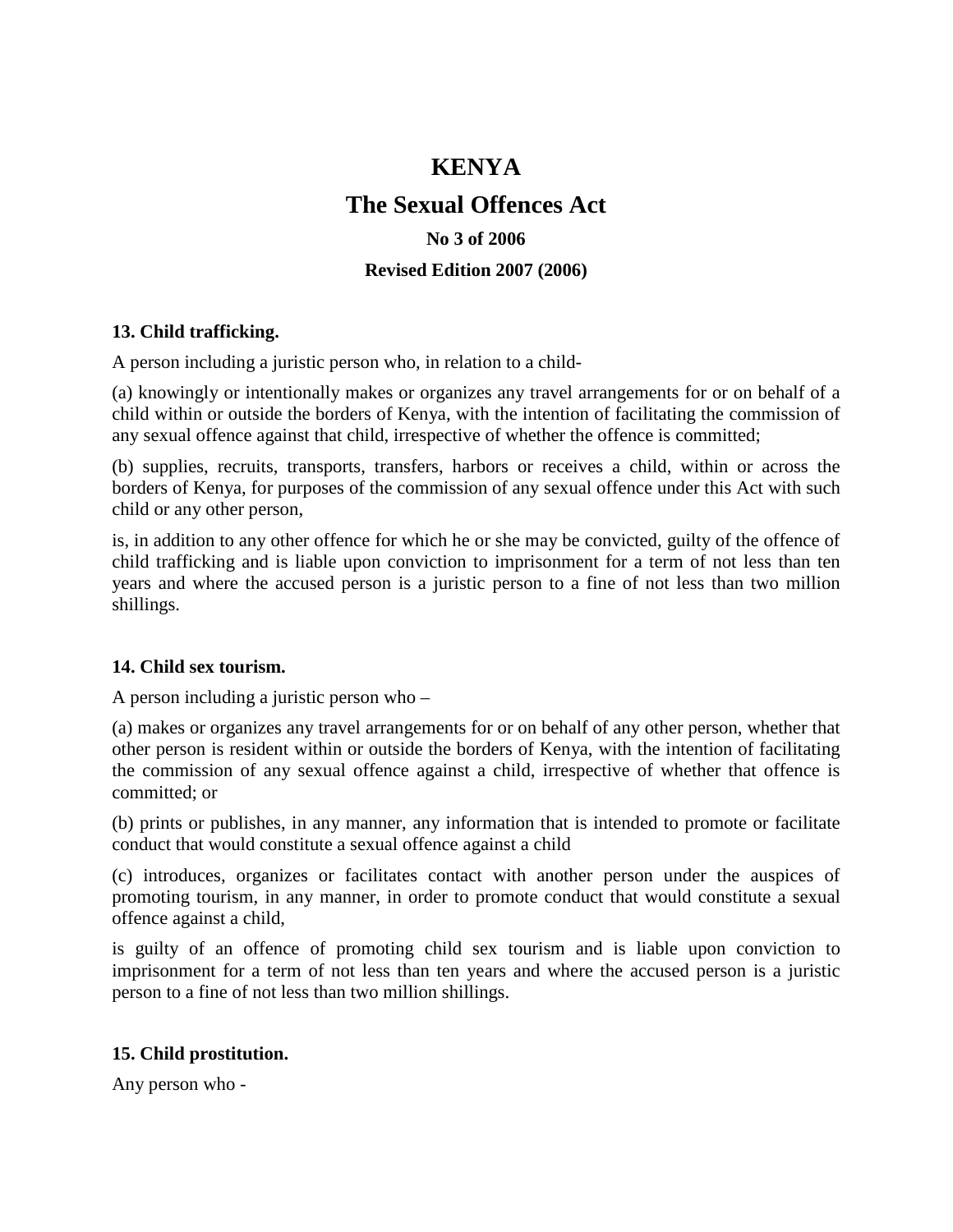# **KENYA**

# **The Sexual Offences Act**

# **No 3 of 2006**

# **Revised Edition 2007 (2006)**

# **13. Child trafficking.**

A person including a juristic person who, in relation to a child-

(a) knowingly or intentionally makes or organizes any travel arrangements for or on behalf of a child within or outside the borders of Kenya, with the intention of facilitating the commission of any sexual offence against that child, irrespective of whether the offence is committed;

(b) supplies, recruits, transports, transfers, harbors or receives a child, within or across the borders of Kenya, for purposes of the commission of any sexual offence under this Act with such child or any other person,

is, in addition to any other offence for which he or she may be convicted, guilty of the offence of child trafficking and is liable upon conviction to imprisonment for a term of not less than ten years and where the accused person is a juristic person to a fine of not less than two million shillings.

# **14. Child sex tourism.**

A person including a juristic person who –

(a) makes or organizes any travel arrangements for or on behalf of any other person, whether that other person is resident within or outside the borders of Kenya, with the intention of facilitating the commission of any sexual offence against a child, irrespective of whether that offence is committed; or

(b) prints or publishes, in any manner, any information that is intended to promote or facilitate conduct that would constitute a sexual offence against a child

(c) introduces, organizes or facilitates contact with another person under the auspices of promoting tourism, in any manner, in order to promote conduct that would constitute a sexual offence against a child,

is guilty of an offence of promoting child sex tourism and is liable upon conviction to imprisonment for a term of not less than ten years and where the accused person is a juristic person to a fine of not less than two million shillings.

# **15. Child prostitution.**

Any person who -